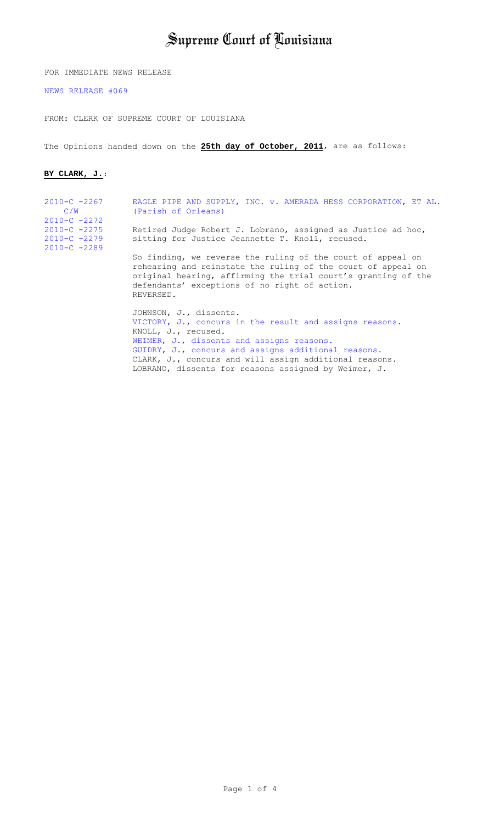# Supreme Court of Louisiana

FOR IMMEDIATE NEWS RELEASE

[NEWS RELEASE #069](http://www.lasc.org/news_releases/2011/2011-069.asp)

FROM: CLERK OF SUPREME COURT OF LOUISIANA

The Opinions handed down on the **25th day of October, 2011**, are as follows:

#### **BY CLARK, J.**:

| $2010-C - 2267$<br>C/W                                                | EAGLE PIPE AND SUPPLY, INC. v. AMERADA HESS CORPORATION, ET AL.<br>(Parish of Orleans)                                                                                                                                                                                 |
|-----------------------------------------------------------------------|------------------------------------------------------------------------------------------------------------------------------------------------------------------------------------------------------------------------------------------------------------------------|
| $2010-C -2272$<br>$2010-C -2275$<br>$2010-C -2279$<br>$2010-C - 2289$ | Retired Judge Robert J. Lobrano, assigned as Justice ad hoc,<br>sitting for Justice Jeannette T. Knoll, recused.                                                                                                                                                       |
|                                                                       | So finding, we reverse the ruling of the court of appeal on<br>rehearing and reinstate the ruling of the court of appeal on<br>original hearing, affirming the trial court's granting of the<br>defendants' exceptions of no right of action.<br>REVERSED.             |
|                                                                       | JOHNSON, J., dissents.<br>VICTORY, J., concurs in the result and assigns reasons.<br>KNOLL, J., recused.<br>WEIMER, J., dissents and assigns reasons.<br>GUIDRY, J., concurs and assigns additional reasons.<br>CLARK, J., concurs and will assign additional reasons. |

LOBRANO, dissents for reasons assigned by Weimer, J.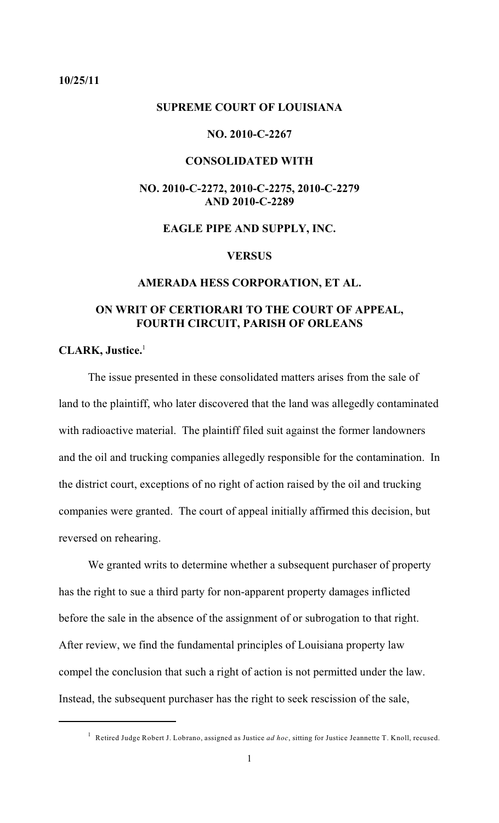#### <span id="page-1-0"></span>**10/25/11**

#### **SUPREME COURT OF LOUISIANA**

# **NO. 2010-C-2267**

# **CONSOLIDATED WITH**

# **NO. 2010-C-2272, 2010-C-2275, 2010-C-2279 AND 2010-C-2289**

# **EAGLE PIPE AND SUPPLY, INC.**

#### **VERSUS**

#### **AMERADA HESS CORPORATION, ET AL.**

# **ON WRIT OF CERTIORARI TO THE COURT OF APPEAL, FOURTH CIRCUIT, PARISH OF ORLEANS**

#### **CLARK, Justice.**<sup>1</sup>

The issue presented in these consolidated matters arises from the sale of land to the plaintiff, who later discovered that the land was allegedly contaminated with radioactive material. The plaintiff filed suit against the former landowners and the oil and trucking companies allegedly responsible for the contamination. In the district court, exceptions of no right of action raised by the oil and trucking companies were granted. The court of appeal initially affirmed this decision, but reversed on rehearing.

We granted writs to determine whether a subsequent purchaser of property has the right to sue a third party for non-apparent property damages inflicted before the sale in the absence of the assignment of or subrogation to that right. After review, we find the fundamental principles of Louisiana property law compel the conclusion that such a right of action is not permitted under the law. Instead, the subsequent purchaser has the right to seek rescission of the sale,

Retired Judge Robert J. Lobrano, assigned as Justice *ad hoc*, sitting for Justice Jeannette T. Knoll, recused. <sup>1</sup>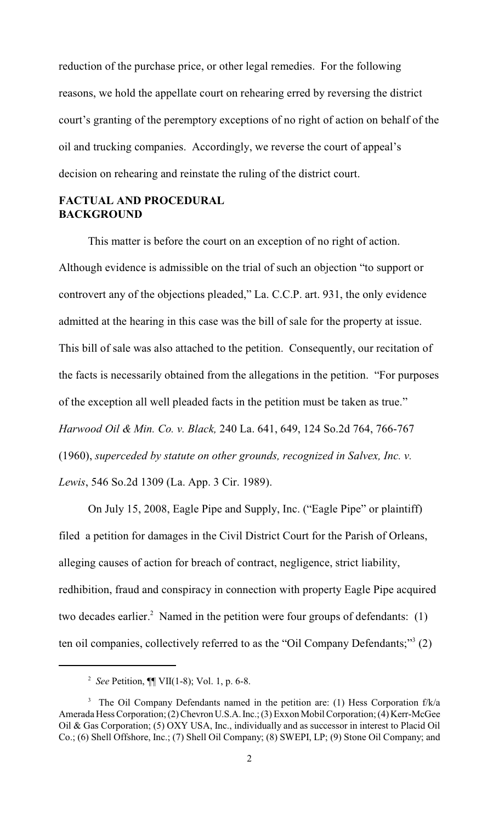reduction of the purchase price, or other legal remedies. For the following reasons, we hold the appellate court on rehearing erred by reversing the district court's granting of the peremptory exceptions of no right of action on behalf of the oil and trucking companies. Accordingly, we reverse the court of appeal's decision on rehearing and reinstate the ruling of the district court.

# **FACTUAL AND PROCEDURAL BACKGROUND**

This matter is before the court on an exception of no right of action. Although evidence is admissible on the trial of such an objection "to support or controvert any of the objections pleaded," La. C.C.P. art. 931, the only evidence admitted at the hearing in this case was the bill of sale for the property at issue. This bill of sale was also attached to the petition. Consequently, our recitation of the facts is necessarily obtained from the allegations in the petition. "For purposes of the exception all well pleaded facts in the petition must be taken as true." *Harwood Oil & Min. Co. v. Black,* 240 La. 641, 649, 124 So.2d 764, 766-767 (1960), *superceded by statute on other grounds, recognized in Salvex, Inc. v. Lewis*, 546 So.2d 1309 (La. App. 3 Cir. 1989).

On July 15, 2008, Eagle Pipe and Supply, Inc. ("Eagle Pipe" or plaintiff) filed a petition for damages in the Civil District Court for the Parish of Orleans, alleging causes of action for breach of contract, negligence, strict liability, redhibition, fraud and conspiracy in connection with property Eagle Pipe acquired two decades earlier.<sup>2</sup> Named in the petition were four groups of defendants:  $(1)$ ten oil companies, collectively referred to as the "Oil Company Defendants;" $3$  (2)

*See* Petition, ¶¶ VII(1-8); Vol. 1, p. 6-8. <sup>2</sup>

<sup>&</sup>lt;sup>3</sup> The Oil Company Defendants named in the petition are: (1) Hess Corporation  $f/k/a$ Amerada Hess Corporation; (2) Chevron U.S.A. Inc.; (3) Exxon Mobil Corporation; (4) Kerr-McGee Oil & Gas Corporation; (5) OXY USA, Inc., individually and as successor in interest to Placid Oil Co.; (6) Shell Offshore, Inc.; (7) Shell Oil Company; (8) SWEPI, LP; (9) Stone Oil Company; and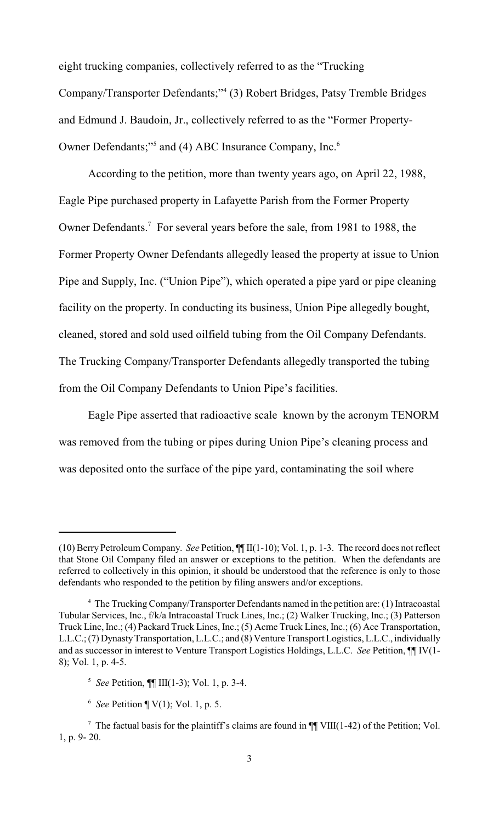eight trucking companies, collectively referred to as the "Trucking Company/Transporter Defendants;"<sup>4</sup> (3) Robert Bridges, Patsy Tremble Bridges and Edmund J. Baudoin, Jr., collectively referred to as the "Former Property-Owner Defendants;"<sup>5</sup> and (4) ABC Insurance Company, Inc.<sup>6</sup>

According to the petition, more than twenty years ago, on April 22, 1988, Eagle Pipe purchased property in Lafayette Parish from the Former Property Owner Defendants.<sup>7</sup> For several years before the sale, from 1981 to 1988, the Former Property Owner Defendants allegedly leased the property at issue to Union Pipe and Supply, Inc. ("Union Pipe"), which operated a pipe yard or pipe cleaning facility on the property. In conducting its business, Union Pipe allegedly bought, cleaned, stored and sold used oilfield tubing from the Oil Company Defendants. The Trucking Company/Transporter Defendants allegedly transported the tubing from the Oil Company Defendants to Union Pipe's facilities.

Eagle Pipe asserted that radioactive scale known by the acronym TENORM was removed from the tubing or pipes during Union Pipe's cleaning process and was deposited onto the surface of the pipe yard, contaminating the soil where

<sup>(10)</sup> Berry Petroleum Company. *See* Petition, ¶¶ II(1-10); Vol. 1, p. 1-3. The record does not reflect that Stone Oil Company filed an answer or exceptions to the petition. When the defendants are referred to collectively in this opinion, it should be understood that the reference is only to those defendants who responded to the petition by filing answers and/or exceptions.

<sup>&</sup>lt;sup>4</sup> The Trucking Company/Transporter Defendants named in the petition are: (1) Intracoastal Tubular Services, Inc., f/k/a Intracoastal Truck Lines, Inc.; (2) Walker Trucking, Inc.; (3) Patterson Truck Line, Inc.; (4) Packard Truck Lines, Inc.; (5) Acme Truck Lines, Inc.; (6) Ace Transportation, L.L.C.; (7) Dynasty Transportation, L.L.C.; and (8) Venture Transport Logistics, L.L.C., individually and as successor in interest to Venture Transport Logistics Holdings, L.L.C. *See* Petition, ¶¶ IV(1- 8); Vol. 1, p. 4-5.

<sup>&</sup>lt;sup>5</sup> See Petition,  $\P\P$  III(1-3); Vol. 1, p. 3-4.

 $6$  *See* Petition  $\P V(1)$ ; Vol. 1, p. 5.

<sup>&</sup>lt;sup>7</sup> The factual basis for the plaintiff's claims are found in  $\P\P$  VIII(1-42) of the Petition; Vol. 1, p. 9- 20.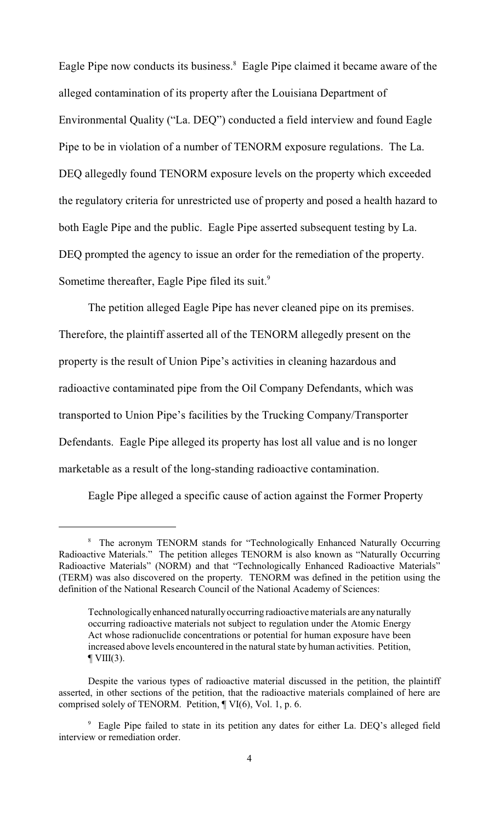Eagle Pipe now conducts its business.<sup>8</sup> Eagle Pipe claimed it became aware of the alleged contamination of its property after the Louisiana Department of Environmental Quality ("La. DEQ") conducted a field interview and found Eagle Pipe to be in violation of a number of TENORM exposure regulations. The La. DEQ allegedly found TENORM exposure levels on the property which exceeded the regulatory criteria for unrestricted use of property and posed a health hazard to both Eagle Pipe and the public. Eagle Pipe asserted subsequent testing by La. DEQ prompted the agency to issue an order for the remediation of the property. Sometime thereafter, Eagle Pipe filed its suit.<sup>9</sup>

The petition alleged Eagle Pipe has never cleaned pipe on its premises. Therefore, the plaintiff asserted all of the TENORM allegedly present on the property is the result of Union Pipe's activities in cleaning hazardous and radioactive contaminated pipe from the Oil Company Defendants, which was transported to Union Pipe's facilities by the Trucking Company/Transporter Defendants. Eagle Pipe alleged its property has lost all value and is no longer marketable as a result of the long-standing radioactive contamination.

Eagle Pipe alleged a specific cause of action against the Former Property

<sup>&</sup>lt;sup>8</sup> The acronym TENORM stands for "Technologically Enhanced Naturally Occurring Radioactive Materials." The petition alleges TENORM is also known as "Naturally Occurring Radioactive Materials" (NORM) and that "Technologically Enhanced Radioactive Materials" (TERM) was also discovered on the property. TENORM was defined in the petition using the definition of the National Research Council of the National Academy of Sciences:

Technologically enhanced naturally occurring radioactive materials are any naturally occurring radioactive materials not subject to regulation under the Atomic Energy Act whose radionuclide concentrations or potential for human exposure have been increased above levels encountered in the natural state by human activities. Petition,  $\P$  VIII(3).

Despite the various types of radioactive material discussed in the petition, the plaintiff asserted, in other sections of the petition, that the radioactive materials complained of here are comprised solely of TENORM. Petition, ¶ VI(6), Vol. 1, p. 6.

<sup>&</sup>lt;sup>9</sup> Eagle Pipe failed to state in its petition any dates for either La. DEQ's alleged field interview or remediation order.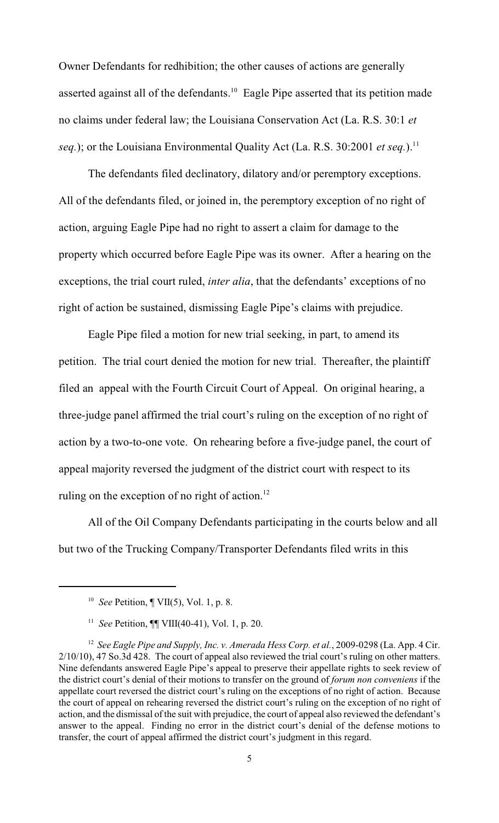Owner Defendants for redhibition; the other causes of actions are generally asserted against all of the defendants.<sup>10</sup> Eagle Pipe asserted that its petition made no claims under federal law; the Louisiana Conservation Act (La. R.S. 30:1 *et seq.*); or the Louisiana Environmental Quality Act (La. R.S. 30:2001 *et seq.*).<sup>11</sup>

The defendants filed declinatory, dilatory and/or peremptory exceptions. All of the defendants filed, or joined in, the peremptory exception of no right of action, arguing Eagle Pipe had no right to assert a claim for damage to the property which occurred before Eagle Pipe was its owner. After a hearing on the exceptions, the trial court ruled, *inter alia*, that the defendants' exceptions of no right of action be sustained, dismissing Eagle Pipe's claims with prejudice.

Eagle Pipe filed a motion for new trial seeking, in part, to amend its petition. The trial court denied the motion for new trial. Thereafter, the plaintiff filed an appeal with the Fourth Circuit Court of Appeal. On original hearing, a three-judge panel affirmed the trial court's ruling on the exception of no right of action by a two-to-one vote. On rehearing before a five-judge panel, the court of appeal majority reversed the judgment of the district court with respect to its ruling on the exception of no right of action. $^{12}$ 

All of the Oil Company Defendants participating in the courts below and all but two of the Trucking Company/Transporter Defendants filed writs in this

<sup>&</sup>lt;sup>10</sup> See Petition,  $\P$  VII(5), Vol. 1, p. 8.

<sup>&</sup>lt;sup>11</sup> *See* Petition,  $\P\P$  VIII(40-41), Vol. 1, p. 20.

<sup>&</sup>lt;sup>12</sup> See Eagle Pipe and Supply, Inc. v. Amerada Hess Corp. et al., 2009-0298 (La. App. 4 Cir. 2/10/10), 47 So.3d 428. The court of appeal also reviewed the trial court's ruling on other matters. Nine defendants answered Eagle Pipe's appeal to preserve their appellate rights to seek review of the district court's denial of their motions to transfer on the ground of *forum non conveniens* if the appellate court reversed the district court's ruling on the exceptions of no right of action. Because the court of appeal on rehearing reversed the district court's ruling on the exception of no right of action, and the dismissal of the suit with prejudice, the court of appeal also reviewed the defendant's answer to the appeal. Finding no error in the district court's denial of the defense motions to transfer, the court of appeal affirmed the district court's judgment in this regard.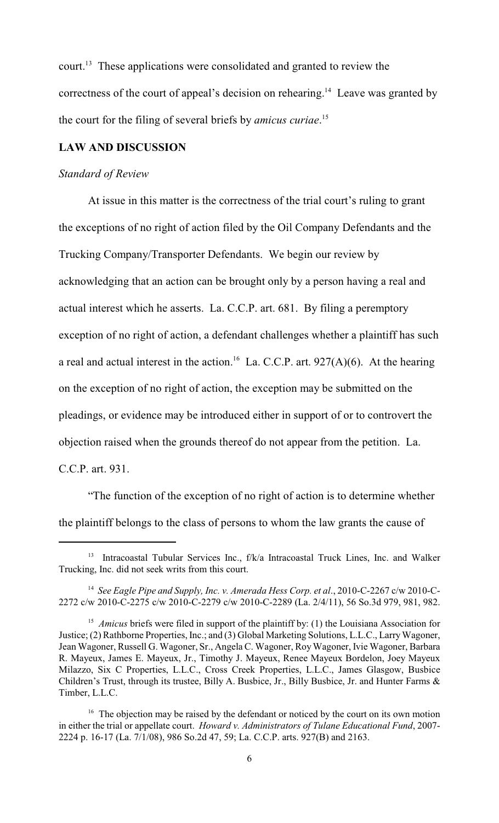court.<sup>13</sup> These applications were consolidated and granted to review the correctness of the court of appeal's decision on rehearing.<sup>14</sup> Leave was granted by the court for the filing of several briefs by *amicus curiae*. 15

# **LAW AND DISCUSSION**

#### *Standard of Review*

At issue in this matter is the correctness of the trial court's ruling to grant the exceptions of no right of action filed by the Oil Company Defendants and the Trucking Company/Transporter Defendants. We begin our review by acknowledging that an action can be brought only by a person having a real and actual interest which he asserts. La. C.C.P. art. 681. By filing a peremptory exception of no right of action, a defendant challenges whether a plaintiff has such a real and actual interest in the action.<sup>16</sup> La. C.C.P. art. 927(A)(6). At the hearing on the exception of no right of action, the exception may be submitted on the pleadings, or evidence may be introduced either in support of or to controvert the objection raised when the grounds thereof do not appear from the petition. La. C.C.P. art. 931.

"The function of the exception of no right of action is to determine whether the plaintiff belongs to the class of persons to whom the law grants the cause of

<sup>&</sup>lt;sup>13</sup> Intracoastal Tubular Services Inc.,  $f/k/a$  Intracoastal Truck Lines, Inc. and Walker Trucking, Inc. did not seek writs from this court.

<sup>&</sup>lt;sup>14</sup> See Eagle Pipe and Supply, Inc. v. Amerada Hess Corp. et al., 2010-C-2267 c/w 2010-C-2272 c/w 2010-C-2275 c/w 2010-C-2279 c/w 2010-C-2289 (La. 2/4/11), 56 So.3d 979, 981, 982.

<sup>&</sup>lt;sup>15</sup> *Amicus* briefs were filed in support of the plaintiff by: (1) the Louisiana Association for Justice; (2) Rathborne Properties, Inc.; and (3) Global Marketing Solutions, L.L.C., Larry Wagoner, Jean Wagoner, Russell G. Wagoner, Sr., Angela C. Wagoner, Roy Wagoner, Ivie Wagoner, Barbara R. Mayeux, James E. Mayeux, Jr., Timothy J. Mayeux, Renee Mayeux Bordelon, Joey Mayeux Milazzo, Six C Properties, L.L.C., Cross Creek Properties, L.L.C., James Glasgow, Busbice Children's Trust, through its trustee, Billy A. Busbice, Jr., Billy Busbice, Jr. and Hunter Farms & Timber, L.L.C.

 $16$  The objection may be raised by the defendant or noticed by the court on its own motion in either the trial or appellate court. *Howard v. Administrators of Tulane Educational Fund*, 2007- 2224 p. 16-17 (La. 7/1/08), 986 So.2d 47, 59; La. C.C.P. arts. 927(B) and 2163.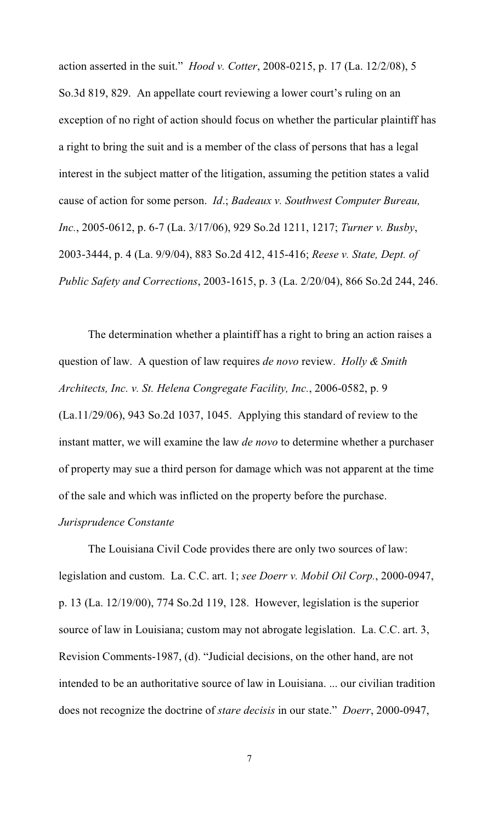action asserted in the suit." *Hood v. Cotter*, 2008-0215, p. 17 (La. 12/2/08), 5 So.3d 819, 829. An appellate court reviewing a lower court's ruling on an exception of no right of action should focus on whether the particular plaintiff has a right to bring the suit and is a member of the class of persons that has a legal interest in the subject matter of the litigation, assuming the petition states a valid cause of action for some person. *Id*.; *Badeaux v. Southwest Computer Bureau, Inc.*, 2005-0612, p. 6-7 (La. 3/17/06), 929 So.2d 1211, 1217; *Turner v. Busby*, 2003-3444, p. 4 (La. 9/9/04), 883 So.2d 412, 415-416; *Reese v. State, Dept. of Public Safety and Corrections*, 2003-1615, p. 3 (La. 2/20/04), 866 So.2d 244, 246.

The determination whether a plaintiff has a right to bring an action raises a question of law. A question of law requires *de novo* review. *Holly & Smith Architects, Inc. v. St. Helena Congregate Facility, Inc.*, 2006-0582, p. 9 (La.11/29/06), 943 So.2d 1037, 1045. Applying this standard of review to the instant matter, we will examine the law *de novo* to determine whether a purchaser of property may sue a third person for damage which was not apparent at the time of the sale and which was inflicted on the property before the purchase.

#### *Jurisprudence Constante*

The Louisiana Civil Code provides there are only two sources of law: legislation and custom. La. C.C. art. 1; *see Doerr v. Mobil Oil Corp.*, 2000-0947, p. 13 (La. 12/19/00), 774 So.2d 119, 128. However, legislation is the superior source of law in Louisiana; custom may not abrogate legislation. La. C.C. art. 3, Revision Comments-1987, (d). "Judicial decisions, on the other hand, are not intended to be an authoritative source of law in Louisiana. ... our civilian tradition does not recognize the doctrine of *stare decisis* in our state." *Doerr*, 2000-0947,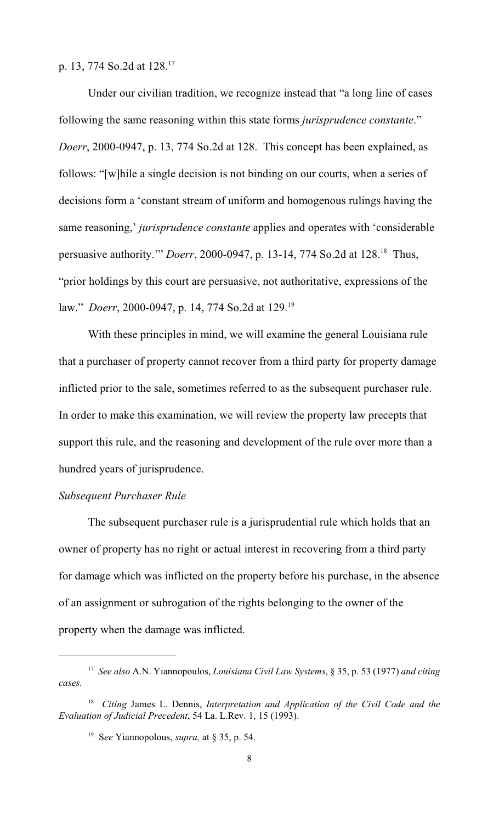p. 13, 774 So.2d at 128. <sup>17</sup>

Under our civilian tradition, we recognize instead that "a long line of cases following the same reasoning within this state forms *jurisprudence constante*." *Doerr*, 2000-0947, p. 13, 774 So.2d at 128. This concept has been explained, as follows: "[w]hile a single decision is not binding on our courts, when a series of decisions form a 'constant stream of uniform and homogenous rulings having the same reasoning,' *jurisprudence constante* applies and operates with 'considerable persuasive authority." *Doerr*, 2000-0947, p. 13-14, 774 So.2d at 128.<sup>18</sup> Thus, "prior holdings by this court are persuasive, not authoritative, expressions of the law." *Doerr*, 2000-0947, p. 14, 774 So.2d at 129.<sup>19</sup>

With these principles in mind, we will examine the general Louisiana rule that a purchaser of property cannot recover from a third party for property damage inflicted prior to the sale, sometimes referred to as the subsequent purchaser rule. In order to make this examination, we will review the property law precepts that support this rule, and the reasoning and development of the rule over more than a hundred years of jurisprudence.

#### *Subsequent Purchaser Rule*

The subsequent purchaser rule is a jurisprudential rule which holds that an owner of property has no right or actual interest in recovering from a third party for damage which was inflicted on the property before his purchase, in the absence of an assignment or subrogation of the rights belonging to the owner of the property when the damage was inflicted.

*See also* A.N. Yiannopoulos, *Louisiana Civil Law Systems*, § 35, p. 53 (1977) *and citing* <sup>17</sup> *cases.*

<sup>&</sup>lt;sup>18</sup> Citing James L. Dennis, *Interpretation and Application of the Civil Code and the Evaluation of Judicial Precedent*, 54 La. L.Rev. 1, 15 (1993).

<sup>&</sup>lt;sup>19</sup> See Yiannopolous, *supra*, at § 35, p. 54.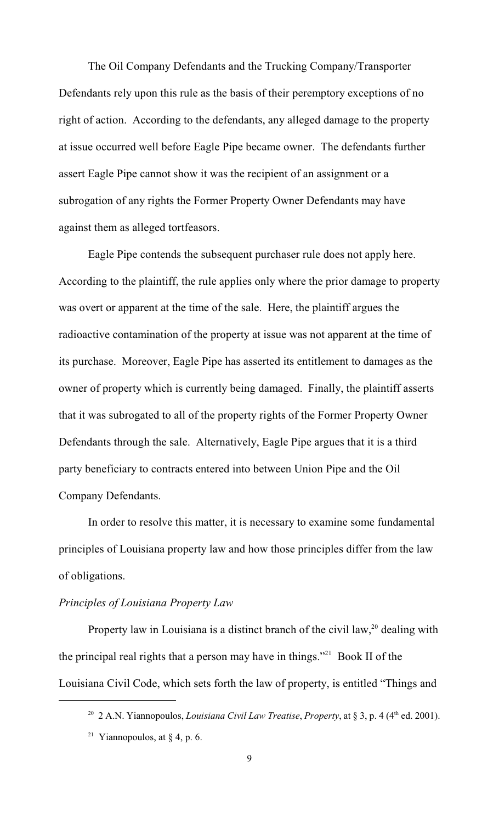The Oil Company Defendants and the Trucking Company/Transporter Defendants rely upon this rule as the basis of their peremptory exceptions of no right of action. According to the defendants, any alleged damage to the property at issue occurred well before Eagle Pipe became owner. The defendants further assert Eagle Pipe cannot show it was the recipient of an assignment or a subrogation of any rights the Former Property Owner Defendants may have against them as alleged tortfeasors.

Eagle Pipe contends the subsequent purchaser rule does not apply here. According to the plaintiff, the rule applies only where the prior damage to property was overt or apparent at the time of the sale. Here, the plaintiff argues the radioactive contamination of the property at issue was not apparent at the time of its purchase. Moreover, Eagle Pipe has asserted its entitlement to damages as the owner of property which is currently being damaged. Finally, the plaintiff asserts that it was subrogated to all of the property rights of the Former Property Owner Defendants through the sale. Alternatively, Eagle Pipe argues that it is a third party beneficiary to contracts entered into between Union Pipe and the Oil Company Defendants.

In order to resolve this matter, it is necessary to examine some fundamental principles of Louisiana property law and how those principles differ from the law of obligations.

# *Principles of Louisiana Property Law*

Property law in Louisiana is a distinct branch of the civil law,  $20$  dealing with the principal real rights that a person may have in things."<sup>21</sup> Book II of the Louisiana Civil Code, which sets forth the law of property, is entitled "Things and

<sup>&</sup>lt;sup>20</sup> 2 A.N. Yiannopoulos, *Louisiana Civil Law Treatise*, *Property*, at § 3, p. 4 (4<sup>th</sup> ed. 2001).

<sup>&</sup>lt;sup>21</sup> Yiannopoulos, at  $\S$  4, p. 6.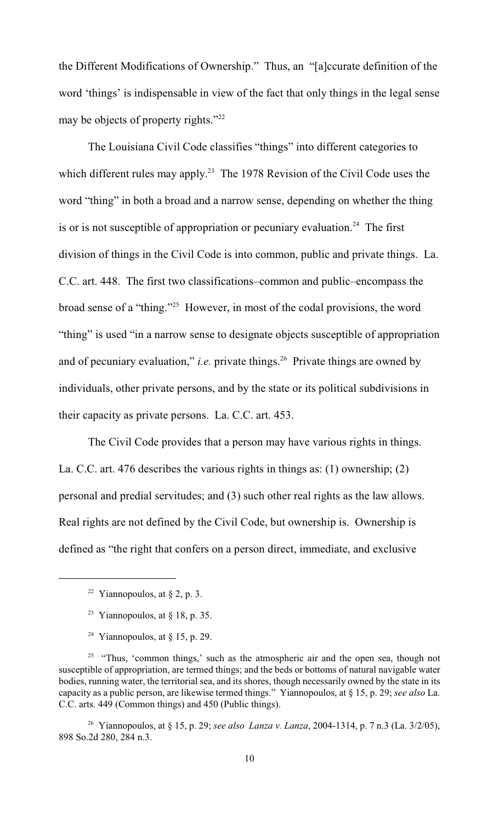the Different Modifications of Ownership." Thus, an "[a]ccurate definition of the word 'things' is indispensable in view of the fact that only things in the legal sense may be objects of property rights."<sup>22</sup>

The Louisiana Civil Code classifies "things" into different categories to which different rules may apply.<sup>23</sup> The 1978 Revision of the Civil Code uses the word "thing" in both a broad and a narrow sense, depending on whether the thing is or is not susceptible of appropriation or pecuniary evaluation.<sup>24</sup> The first division of things in the Civil Code is into common, public and private things. La. C.C. art. 448. The first two classifications–common and public–encompass the broad sense of a "thing."<sup> $25$ </sup> However, in most of the codal provisions, the word "thing" is used "in a narrow sense to designate objects susceptible of appropriation and of pecuniary evaluation," *i.e.* private things.<sup>26</sup> Private things are owned by individuals, other private persons, and by the state or its political subdivisions in their capacity as private persons. La. C.C. art. 453.

The Civil Code provides that a person may have various rights in things. La. C.C. art. 476 describes the various rights in things as: (1) ownership; (2) personal and predial servitudes; and (3) such other real rights as the law allows. Real rights are not defined by the Civil Code, but ownership is. Ownership is defined as "the right that confers on a person direct, immediate, and exclusive

<sup>24</sup> Yiannopoulos, at  $\S$  15, p. 29.

<sup>&</sup>lt;sup>22</sup> Yiannopoulos, at  $\S$  2, p. 3.

<sup>&</sup>lt;sup>23</sup> Yiannopoulos, at  $\S$  18, p. 35.

 $25$  "Thus, 'common things,' such as the atmospheric air and the open sea, though not susceptible of appropriation, are termed things; and the beds or bottoms of natural navigable water bodies, running water, the territorial sea, and its shores, though necessarily owned by the state in its capacity as a public person, are likewise termed things." Yiannopoulos, at § 15, p. 29; *see also* La. C.C. arts. 449 (Common things) and 450 (Public things).

<sup>&</sup>lt;sup>26</sup> Yiannopoulos, at § 15, p. 29; *see also Lanza v. Lanza*, 2004-1314, p. 7 n.3 (La. 3/2/05), 898 So.2d 280, 284 n.3.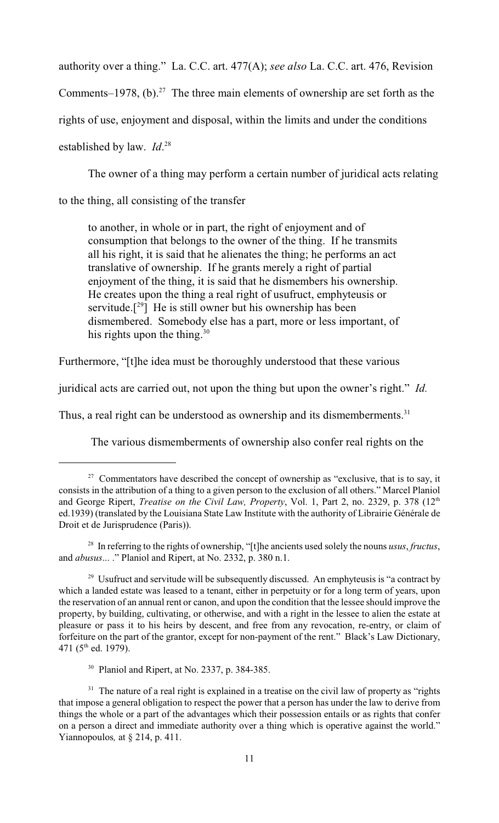authority over a thing." La. C.C. art. 477(A); *see also* La. C.C. art. 476, Revision

Comments–1978, (b).<sup>27</sup> The three main elements of ownership are set forth as the

rights of use, enjoyment and disposal, within the limits and under the conditions

established by law. *Id*. 28

The owner of a thing may perform a certain number of juridical acts relating

to the thing, all consisting of the transfer

to another, in whole or in part, the right of enjoyment and of consumption that belongs to the owner of the thing. If he transmits all his right, it is said that he alienates the thing; he performs an act translative of ownership. If he grants merely a right of partial enjoyment of the thing, it is said that he dismembers his ownership. He creates upon the thing a real right of usufruct, emphyteusis or servitude.<sup>[29]</sup> He is still owner but his ownership has been dismembered. Somebody else has a part, more or less important, of his rights upon the thing.<sup>30</sup>

Furthermore, "[t]he idea must be thoroughly understood that these various

juridical acts are carried out, not upon the thing but upon the owner's right." *Id.*

Thus, a real right can be understood as ownership and its dismemberments.<sup>31</sup>

The various dismemberments of ownership also confer real rights on the

 $27$  Commentators have described the concept of ownership as "exclusive, that is to say, it consists in the attribution of a thing to a given person to the exclusion of all others." Marcel Planiol and George Ripert, *Treatise on the Civil Law, Property, Vol. 1, Part 2, no. 2329, p. 378* (12<sup>th</sup>) ed.1939) (translated by the Louisiana State Law Institute with the authority of Librairie Générale de Droit et de Jurisprudence (Paris)).

<sup>&</sup>lt;sup>28</sup> In referring to the rights of ownership, "[t]he ancients used solely the nouns *usus*, *fructus*, and *abusus*... ." Planiol and Ripert, at No. 2332, p. 380 n.1.

 $29$  Usufruct and servitude will be subsequently discussed. An emphyteusis is "a contract by which a landed estate was leased to a tenant, either in perpetuity or for a long term of years, upon the reservation of an annual rent or canon, and upon the condition that the lessee should improve the property, by building, cultivating, or otherwise, and with a right in the lessee to alien the estate at pleasure or pass it to his heirs by descent, and free from any revocation, re-entry, or claim of forfeiture on the part of the grantor, except for non-payment of the rent." Black's Law Dictionary, 471 ( $5<sup>th</sup>$  ed. 1979).

 $30$  Planiol and Ripert, at No. 2337, p. 384-385.

<sup>&</sup>lt;sup>31</sup> The nature of a real right is explained in a treatise on the civil law of property as "rights" that impose a general obligation to respect the power that a person has under the law to derive from things the whole or a part of the advantages which their possession entails or as rights that confer on a person a direct and immediate authority over a thing which is operative against the world." Yiannopoulos*,* at § 214, p. 411.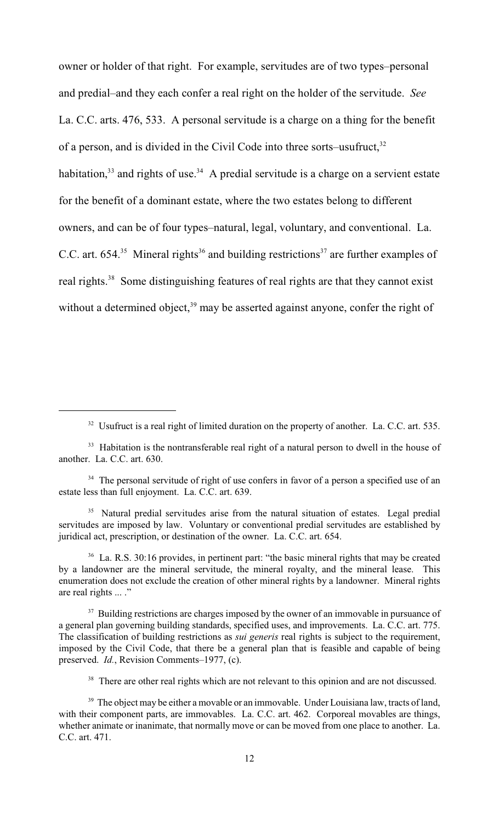owner or holder of that right. For example, servitudes are of two types–personal and predial–and they each confer a real right on the holder of the servitude. *See* La. C.C. arts. 476, 533. A personal servitude is a charge on a thing for the benefit of a person, and is divided in the Civil Code into three sorts–usufruct,<sup>32</sup> habitation,  $33$  and rights of use.  $34$  A predial servitude is a charge on a servient estate for the benefit of a dominant estate, where the two estates belong to different owners, and can be of four types–natural, legal, voluntary, and conventional. La. C.C. art. 654.<sup>35</sup> Mineral rights<sup>36</sup> and building restrictions<sup>37</sup> are further examples of real rights.<sup>38</sup> Some distinguishing features of real rights are that they cannot exist without a determined object,  $39$  may be asserted against anyone, confer the right of

<sup>37</sup> Building restrictions are charges imposed by the owner of an immovable in pursuance of a general plan governing building standards, specified uses, and improvements. La. C.C. art. 775. The classification of building restrictions as *sui generis* real rights is subject to the requirement, imposed by the Civil Code, that there be a general plan that is feasible and capable of being preserved. *Id.*, Revision Comments–1977, (c).

<sup>38</sup> There are other real rights which are not relevant to this opinion and are not discussed.

 $32$  Usufruct is a real right of limited duration on the property of another. La. C.C. art. 535.

 $33$  Habitation is the nontransferable real right of a natural person to dwell in the house of another. La. C.C. art. 630.

<sup>&</sup>lt;sup>34</sup> The personal servitude of right of use confers in favor of a person a specified use of an estate less than full enjoyment. La. C.C. art. 639.

<sup>&</sup>lt;sup>35</sup> Natural predial servitudes arise from the natural situation of estates. Legal predial servitudes are imposed by law. Voluntary or conventional predial servitudes are established by juridical act, prescription, or destination of the owner. La. C.C. art. 654.

 $36$  La. R.S. 30:16 provides, in pertinent part: "the basic mineral rights that may be created by a landowner are the mineral servitude, the mineral royalty, and the mineral lease. This enumeration does not exclude the creation of other mineral rights by a landowner. Mineral rights are real rights ... ."

<sup>&</sup>lt;sup>39</sup> The object may be either a movable or an immovable. Under Louisiana law, tracts of land, with their component parts, are immovables. La. C.C. art. 462. Corporeal movables are things, whether animate or inanimate, that normally move or can be moved from one place to another. La. C.C. art. 471.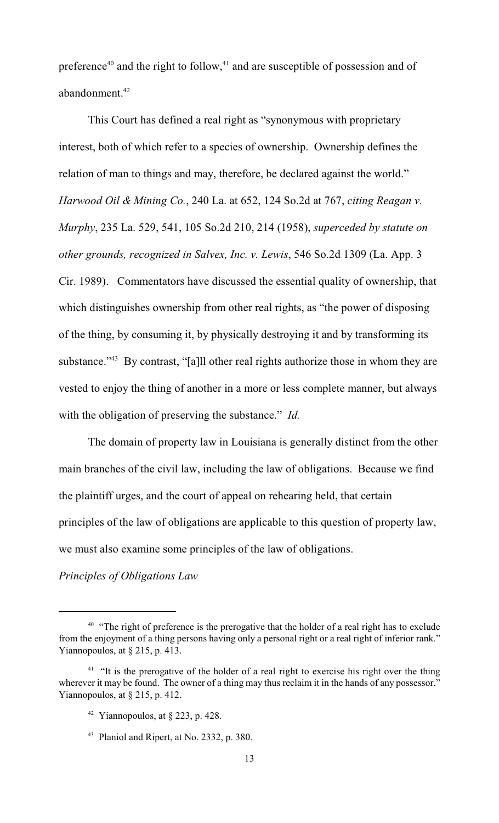preference<sup>40</sup> and the right to follow,<sup>41</sup> and are susceptible of possession and of abandonment. <sup>42</sup>

This Court has defined a real right as "synonymous with proprietary interest, both of which refer to a species of ownership. Ownership defines the relation of man to things and may, therefore, be declared against the world." *Harwood Oil & Mining Co.*, 240 La. at 652, 124 So.2d at 767, *citing Reagan v. Murphy*, 235 La. 529, 541, 105 So.2d 210, 214 (1958), *superceded by statute on other grounds, recognized in Salvex, Inc. v. Lewis*, 546 So.2d 1309 (La. App. 3 Cir. 1989). Commentators have discussed the essential quality of ownership, that which distinguishes ownership from other real rights, as "the power of disposing of the thing, by consuming it, by physically destroying it and by transforming its substance." $43$  By contrast, "[a]ll other real rights authorize those in whom they are vested to enjoy the thing of another in a more or less complete manner, but always with the obligation of preserving the substance." *Id.*

The domain of property law in Louisiana is generally distinct from the other main branches of the civil law, including the law of obligations. Because we find the plaintiff urges, and the court of appeal on rehearing held, that certain principles of the law of obligations are applicable to this question of property law, we must also examine some principles of the law of obligations.

*Principles of Obligations Law*

 $40$  "The right of preference is the prerogative that the holder of a real right has to exclude from the enjoyment of a thing persons having only a personal right or a real right of inferior rank." Yiannopoulos, at § 215, p. 413.

 $41$  "It is the prerogative of the holder of a real right to exercise his right over the thing wherever it may be found. The owner of a thing may thus reclaim it in the hands of any possessor." Yiannopoulos, at § 215, p. 412.

<sup>&</sup>lt;sup>42</sup> Yiannopoulos, at  $\S$  223, p. 428.

 $43$  Planiol and Ripert, at No. 2332, p. 380.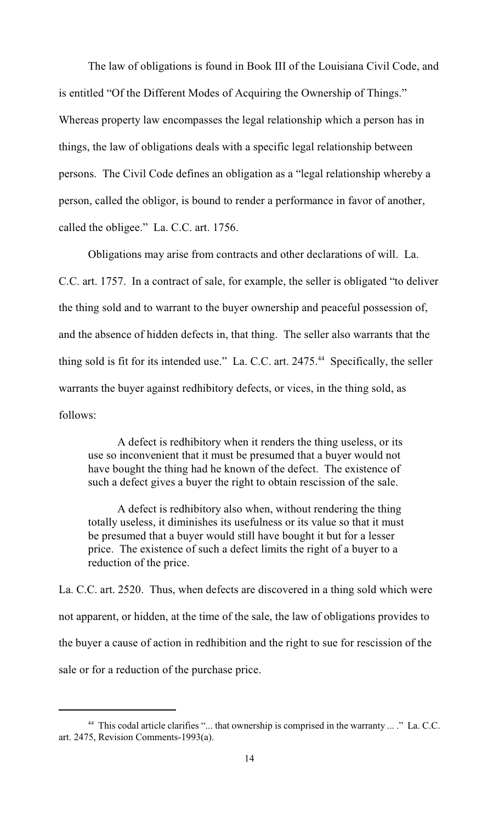The law of obligations is found in Book III of the Louisiana Civil Code, and is entitled "Of the Different Modes of Acquiring the Ownership of Things." Whereas property law encompasses the legal relationship which a person has in things, the law of obligations deals with a specific legal relationship between persons. The Civil Code defines an obligation as a "legal relationship whereby a person, called the obligor, is bound to render a performance in favor of another, called the obligee." La. C.C. art. 1756.

Obligations may arise from contracts and other declarations of will. La. C.C. art. 1757. In a contract of sale, for example, the seller is obligated "to deliver the thing sold and to warrant to the buyer ownership and peaceful possession of, and the absence of hidden defects in, that thing. The seller also warrants that the thing sold is fit for its intended use." La. C.C. art.  $2475.^{44}$  Specifically, the seller warrants the buyer against redhibitory defects, or vices, in the thing sold, as follows:

A defect is redhibitory when it renders the thing useless, or its use so inconvenient that it must be presumed that a buyer would not have bought the thing had he known of the defect. The existence of such a defect gives a buyer the right to obtain rescission of the sale.

A defect is redhibitory also when, without rendering the thing totally useless, it diminishes its usefulness or its value so that it must be presumed that a buyer would still have bought it but for a lesser price. The existence of such a defect limits the right of a buyer to a reduction of the price.

La. C.C. art. 2520. Thus, when defects are discovered in a thing sold which were not apparent, or hidden, at the time of the sale, the law of obligations provides to the buyer a cause of action in redhibition and the right to sue for rescission of the sale or for a reduction of the purchase price.

<sup>&</sup>lt;sup>44</sup> This codal article clarifies "... that ownership is comprised in the warranty ... ." La. C.C. art. 2475, Revision Comments-1993(a).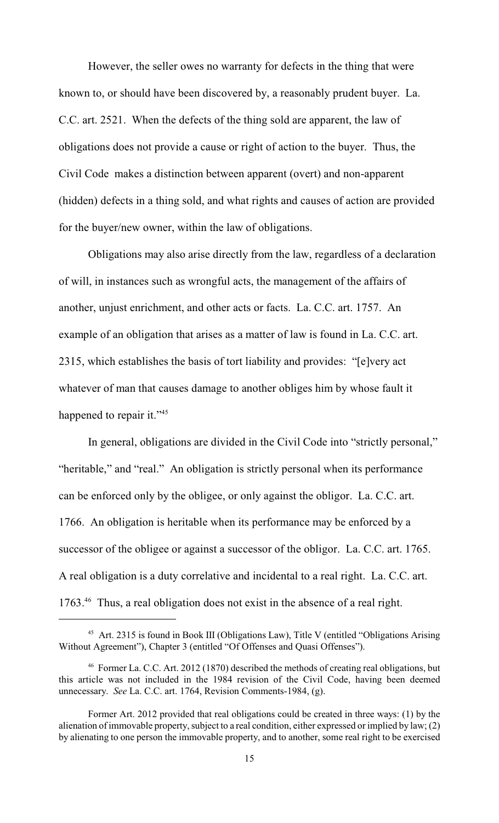However, the seller owes no warranty for defects in the thing that were known to, or should have been discovered by, a reasonably prudent buyer. La. C.C. art. 2521. When the defects of the thing sold are apparent, the law of obligations does not provide a cause or right of action to the buyer. Thus, the Civil Code makes a distinction between apparent (overt) and non-apparent (hidden) defects in a thing sold, and what rights and causes of action are provided for the buyer/new owner, within the law of obligations.

Obligations may also arise directly from the law, regardless of a declaration of will, in instances such as wrongful acts, the management of the affairs of another, unjust enrichment, and other acts or facts. La. C.C. art. 1757. An example of an obligation that arises as a matter of law is found in La. C.C. art. 2315, which establishes the basis of tort liability and provides: "[e]very act whatever of man that causes damage to another obliges him by whose fault it happened to repair it."<sup>45</sup>

In general, obligations are divided in the Civil Code into "strictly personal," "heritable," and "real." An obligation is strictly personal when its performance can be enforced only by the obligee, or only against the obligor. La. C.C. art. 1766. An obligation is heritable when its performance may be enforced by a successor of the obligee or against a successor of the obligor. La. C.C. art. 1765. A real obligation is a duty correlative and incidental to a real right. La. C.C. art.  $1763<sup>46</sup>$  Thus, a real obligation does not exist in the absence of a real right.

<sup>&</sup>lt;sup>45</sup> Art. 2315 is found in Book III (Obligations Law), Title V (entitled "Obligations Arising Without Agreement"), Chapter 3 (entitled "Of Offenses and Quasi Offenses").

<sup>&</sup>lt;sup>46</sup> Former La. C.C. Art. 2012 (1870) described the methods of creating real obligations, but this article was not included in the 1984 revision of the Civil Code, having been deemed unnecessary. *See* La. C.C. art. 1764, Revision Comments-1984, (g).

Former Art. 2012 provided that real obligations could be created in three ways: (1) by the alienation of immovable property, subject to a real condition, either expressed or implied by law; (2) by alienating to one person the immovable property, and to another, some real right to be exercised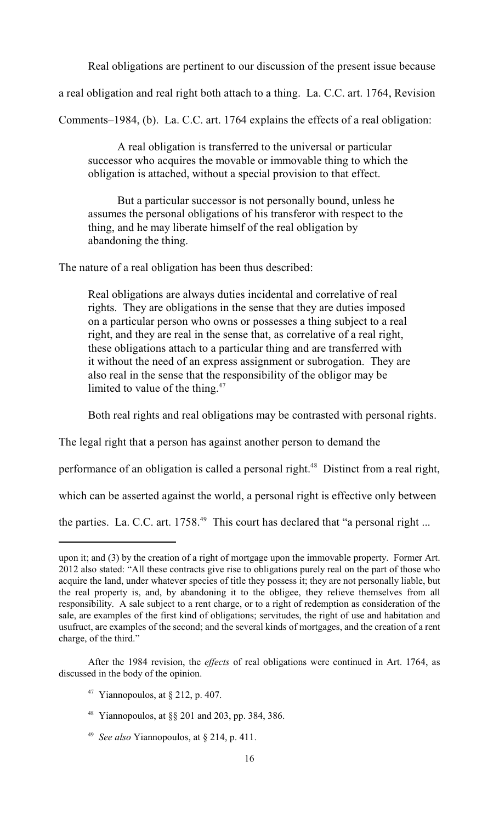Real obligations are pertinent to our discussion of the present issue because

a real obligation and real right both attach to a thing. La. C.C. art. 1764, Revision

Comments–1984, (b). La. C.C. art. 1764 explains the effects of a real obligation:

A real obligation is transferred to the universal or particular successor who acquires the movable or immovable thing to which the obligation is attached, without a special provision to that effect.

But a particular successor is not personally bound, unless he assumes the personal obligations of his transferor with respect to the thing, and he may liberate himself of the real obligation by abandoning the thing.

The nature of a real obligation has been thus described:

Real obligations are always duties incidental and correlative of real rights. They are obligations in the sense that they are duties imposed on a particular person who owns or possesses a thing subject to a real right, and they are real in the sense that, as correlative of a real right, these obligations attach to a particular thing and are transferred with it without the need of an express assignment or subrogation. They are also real in the sense that the responsibility of the obligor may be limited to value of the thing. $47$ 

Both real rights and real obligations may be contrasted with personal rights.

The legal right that a person has against another person to demand the

performance of an obligation is called a personal right.<sup>48</sup> Distinct from a real right,

which can be asserted against the world, a personal right is effective only between

the parties. La. C.C. art.  $1758<sup>49</sup>$  This court has declared that "a personal right ...

- <sup>48</sup> Yiannopoulos, at  $\S$ § 201 and 203, pp. 384, 386.
- <sup>49</sup> *See also* Yiannopoulos, at  $\S$  214, p. 411.

upon it; and (3) by the creation of a right of mortgage upon the immovable property. Former Art. 2012 also stated: "All these contracts give rise to obligations purely real on the part of those who acquire the land, under whatever species of title they possess it; they are not personally liable, but the real property is, and, by abandoning it to the obligee, they relieve themselves from all responsibility. A sale subject to a rent charge, or to a right of redemption as consideration of the sale, are examples of the first kind of obligations; servitudes, the right of use and habitation and usufruct, are examples of the second; and the several kinds of mortgages, and the creation of a rent charge, of the third."

After the 1984 revision, the *effects* of real obligations were continued in Art. 1764, as discussed in the body of the opinion.

<sup>&</sup>lt;sup>47</sup> Yiannopoulos, at  $\S$  212, p. 407.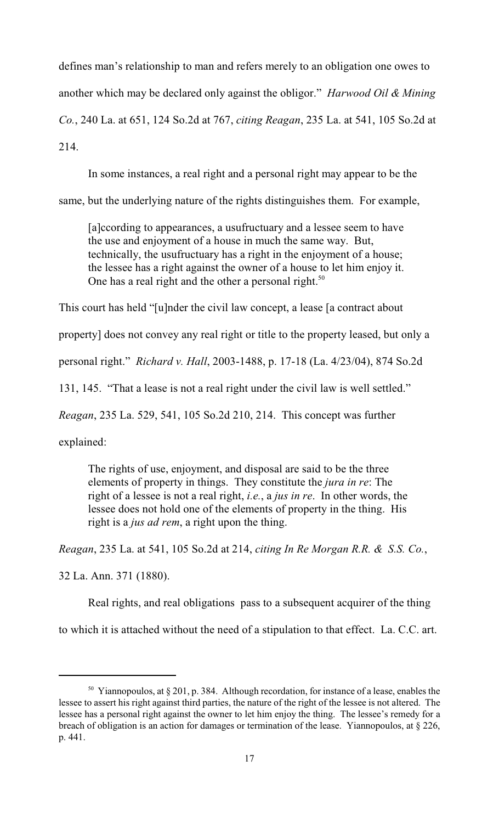defines man's relationship to man and refers merely to an obligation one owes to another which may be declared only against the obligor." *Harwood Oil & Mining Co.*, 240 La. at 651, 124 So.2d at 767, *citing Reagan*, 235 La. at 541, 105 So.2d at 214.

In some instances, a real right and a personal right may appear to be the

same, but the underlying nature of the rights distinguishes them. For example,

[a]ccording to appearances, a usufructuary and a lessee seem to have the use and enjoyment of a house in much the same way. But, technically, the usufructuary has a right in the enjoyment of a house; the lessee has a right against the owner of a house to let him enjoy it. One has a real right and the other a personal right.<sup>50</sup>

This court has held "[u]nder the civil law concept, a lease [a contract about

property] does not convey any real right or title to the property leased, but only a

personal right." *Richard v. Hall*, 2003-1488, p. 17-18 (La. 4/23/04), 874 So.2d

131, 145. "That a lease is not a real right under the civil law is well settled."

*Reagan*, 235 La. 529, 541, 105 So.2d 210, 214. This concept was further

explained:

The rights of use, enjoyment, and disposal are said to be the three elements of property in things. They constitute the *jura in re*: The right of a lessee is not a real right, *i.e.*, a *jus in re*. In other words, the lessee does not hold one of the elements of property in the thing. His right is a *jus ad rem*, a right upon the thing.

*Reagan*, 235 La. at 541, 105 So.2d at 214, *citing In Re Morgan R.R. & S.S. Co.*,

32 La. Ann. 371 (1880).

Real rights, and real obligations pass to a subsequent acquirer of the thing

to which it is attached without the need of a stipulation to that effect. La. C.C. art.

<sup>&</sup>lt;sup>50</sup> Yiannopoulos, at § 201, p. 384. Although recordation, for instance of a lease, enables the lessee to assert his right against third parties, the nature of the right of the lessee is not altered. The lessee has a personal right against the owner to let him enjoy the thing. The lessee's remedy for a breach of obligation is an action for damages or termination of the lease. Yiannopoulos, at § 226, p. 441.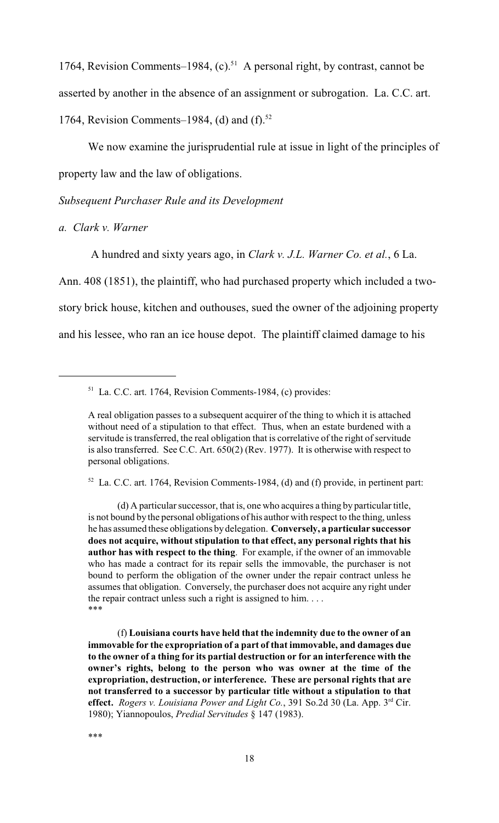1764, Revision Comments–1984,  $(c)$ .<sup>51</sup> A personal right, by contrast, cannot be asserted by another in the absence of an assignment or subrogation. La. C.C. art. 1764, Revision Comments–1984, (d) and  $(f)$ .<sup>52</sup>

We now examine the jurisprudential rule at issue in light of the principles of property law and the law of obligations.

# *Subsequent Purchaser Rule and its Development*

*a. Clark v. Warner* 

A hundred and sixty years ago, in *Clark v. J.L. Warner Co. et al.*, 6 La.

Ann. 408 (1851), the plaintiff, who had purchased property which included a twostory brick house, kitchen and outhouses, sued the owner of the adjoining property and his lessee, who ran an ice house depot. The plaintiff claimed damage to his

 $52$  La. C.C. art. 1764, Revision Comments-1984, (d) and (f) provide, in pertinent part:

 $51$  La. C.C. art. 1764, Revision Comments-1984, (c) provides:

A real obligation passes to a subsequent acquirer of the thing to which it is attached without need of a stipulation to that effect. Thus, when an estate burdened with a servitude is transferred, the real obligation that is correlative of the right of servitude is also transferred. See C.C. Art. 650(2) (Rev. 1977). It is otherwise with respect to personal obligations.

<sup>(</sup>d) A particular successor, that is, one who acquires a thing by particular title, is not bound by the personal obligations of his author with respect to the thing, unless he has assumed these obligations by delegation. **Conversely, a particular successor does not acquire, without stipulation to that effect, any personal rights that his author has with respect to the thing**. For example, if the owner of an immovable who has made a contract for its repair sells the immovable, the purchaser is not bound to perform the obligation of the owner under the repair contract unless he assumes that obligation. Conversely, the purchaser does not acquire any right under the repair contract unless such a right is assigned to him. . . . \*\*\*

<sup>(</sup>f) **Louisiana courts have held that the indemnity due to the owner of an immovable for the expropriation of a part of that immovable, and damages due to the owner of a thing for its partial destruction or for an interference with the owner's rights, belong to the person who was owner at the time of the expropriation, destruction, or interference. These are personal rights that are not transferred to a successor by particular title without a stipulation to that** effect. *Rogers v. Louisiana Power and Light Co.*, 391 So.2d 30 (La. App. 3<sup>rd</sup> Cir. 1980); Yiannopoulos, *Predial Servitudes* § 147 (1983).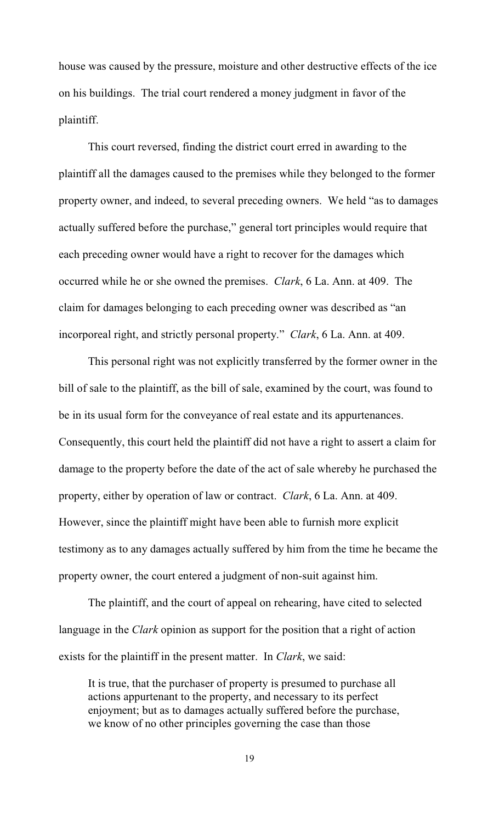house was caused by the pressure, moisture and other destructive effects of the ice on his buildings. The trial court rendered a money judgment in favor of the plaintiff.

This court reversed, finding the district court erred in awarding to the plaintiff all the damages caused to the premises while they belonged to the former property owner, and indeed, to several preceding owners. We held "as to damages actually suffered before the purchase," general tort principles would require that each preceding owner would have a right to recover for the damages which occurred while he or she owned the premises. *Clark*, 6 La. Ann. at 409. The claim for damages belonging to each preceding owner was described as "an incorporeal right, and strictly personal property." *Clark*, 6 La. Ann. at 409.

This personal right was not explicitly transferred by the former owner in the bill of sale to the plaintiff, as the bill of sale, examined by the court, was found to be in its usual form for the conveyance of real estate and its appurtenances. Consequently, this court held the plaintiff did not have a right to assert a claim for damage to the property before the date of the act of sale whereby he purchased the property, either by operation of law or contract. *Clark*, 6 La. Ann. at 409. However, since the plaintiff might have been able to furnish more explicit testimony as to any damages actually suffered by him from the time he became the property owner, the court entered a judgment of non-suit against him.

The plaintiff, and the court of appeal on rehearing, have cited to selected language in the *Clark* opinion as support for the position that a right of action exists for the plaintiff in the present matter. In *Clark*, we said:

It is true, that the purchaser of property is presumed to purchase all actions appurtenant to the property, and necessary to its perfect enjoyment; but as to damages actually suffered before the purchase, we know of no other principles governing the case than those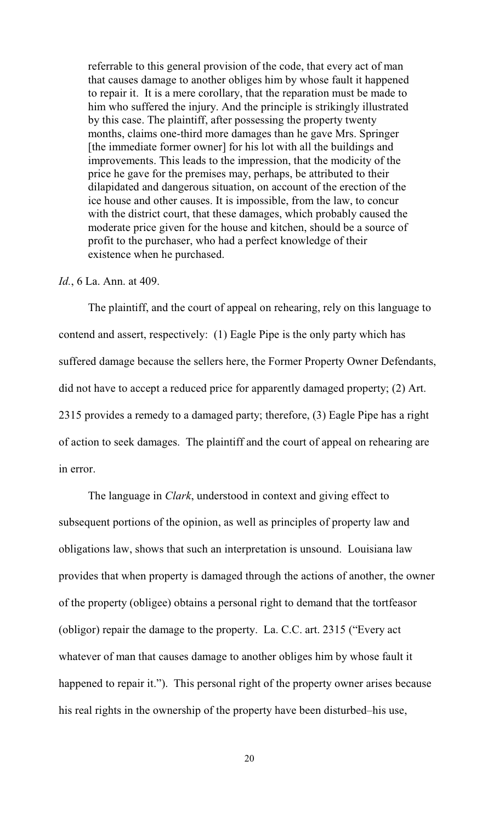referrable to this general provision of the code, that every act of man that causes damage to another obliges him by whose fault it happened to repair it. It is a mere corollary, that the reparation must be made to him who suffered the injury. And the principle is strikingly illustrated by this case. The plaintiff, after possessing the property twenty months, claims one-third more damages than he gave Mrs. Springer [the immediate former owner] for his lot with all the buildings and improvements. This leads to the impression, that the modicity of the price he gave for the premises may, perhaps, be attributed to their dilapidated and dangerous situation, on account of the erection of the ice house and other causes. It is impossible, from the law, to concur with the district court, that these damages, which probably caused the moderate price given for the house and kitchen, should be a source of profit to the purchaser, who had a perfect knowledge of their existence when he purchased.

#### *Id.*, 6 La. Ann. at 409.

The plaintiff, and the court of appeal on rehearing, rely on this language to contend and assert, respectively: (1) Eagle Pipe is the only party which has suffered damage because the sellers here, the Former Property Owner Defendants, did not have to accept a reduced price for apparently damaged property; (2) Art. 2315 provides a remedy to a damaged party; therefore, (3) Eagle Pipe has a right of action to seek damages. The plaintiff and the court of appeal on rehearing are in error.

The language in *Clark*, understood in context and giving effect to subsequent portions of the opinion, as well as principles of property law and obligations law, shows that such an interpretation is unsound. Louisiana law provides that when property is damaged through the actions of another, the owner of the property (obligee) obtains a personal right to demand that the tortfeasor (obligor) repair the damage to the property. La. C.C. art. 2315 ("Every act whatever of man that causes damage to another obliges him by whose fault it happened to repair it."). This personal right of the property owner arises because his real rights in the ownership of the property have been disturbed–his use,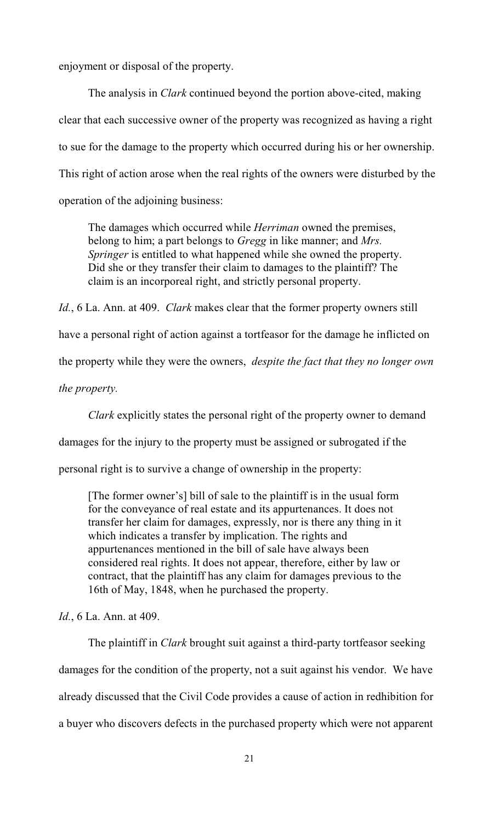enjoyment or disposal of the property.

The analysis in *Clark* continued beyond the portion above-cited, making clear that each successive owner of the property was recognized as having a right to sue for the damage to the property which occurred during his or her ownership. This right of action arose when the real rights of the owners were disturbed by the operation of the adjoining business:

The damages which occurred while *Herriman* owned the premises, belong to him; a part belongs to *Gregg* in like manner; and *Mrs. Springer* is entitled to what happened while she owned the property. Did she or they transfer their claim to damages to the plaintiff? The claim is an incorporeal right, and strictly personal property.

*Id.*, 6 La. Ann. at 409. *Clark* makes clear that the former property owners still have a personal right of action against a tortfeasor for the damage he inflicted on the property while they were the owners, *despite the fact that they no longer own the property.*

*Clark* explicitly states the personal right of the property owner to demand

damages for the injury to the property must be assigned or subrogated if the

personal right is to survive a change of ownership in the property:

[The former owner's] bill of sale to the plaintiff is in the usual form for the conveyance of real estate and its appurtenances. It does not transfer her claim for damages, expressly, nor is there any thing in it which indicates a transfer by implication. The rights and appurtenances mentioned in the bill of sale have always been considered real rights. It does not appear, therefore, either by law or contract, that the plaintiff has any claim for damages previous to the 16th of May, 1848, when he purchased the property.

*Id.*, 6 La. Ann. at 409.

The plaintiff in *Clark* brought suit against a third-party tortfeasor seeking damages for the condition of the property, not a suit against his vendor. We have already discussed that the Civil Code provides a cause of action in redhibition for a buyer who discovers defects in the purchased property which were not apparent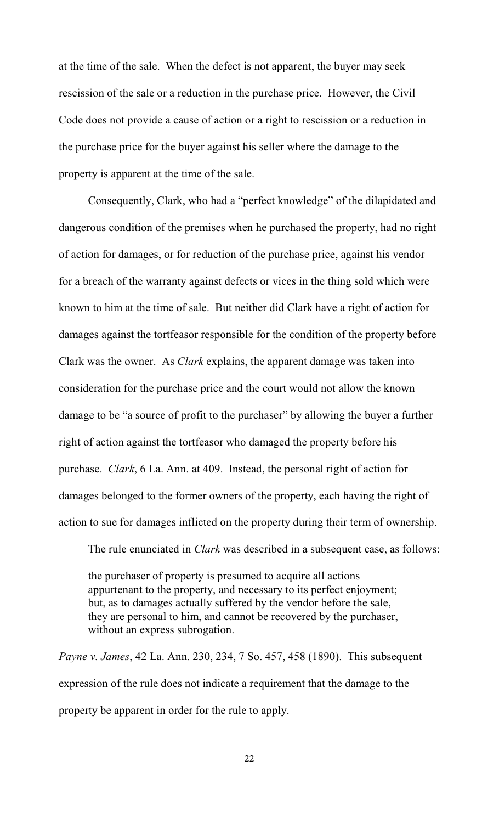at the time of the sale. When the defect is not apparent, the buyer may seek rescission of the sale or a reduction in the purchase price. However, the Civil Code does not provide a cause of action or a right to rescission or a reduction in the purchase price for the buyer against his seller where the damage to the property is apparent at the time of the sale.

Consequently, Clark, who had a "perfect knowledge" of the dilapidated and dangerous condition of the premises when he purchased the property, had no right of action for damages, or for reduction of the purchase price, against his vendor for a breach of the warranty against defects or vices in the thing sold which were known to him at the time of sale. But neither did Clark have a right of action for damages against the tortfeasor responsible for the condition of the property before Clark was the owner. As *Clark* explains, the apparent damage was taken into consideration for the purchase price and the court would not allow the known damage to be "a source of profit to the purchaser" by allowing the buyer a further right of action against the tortfeasor who damaged the property before his purchase. *Clark*, 6 La. Ann. at 409. Instead, the personal right of action for damages belonged to the former owners of the property, each having the right of action to sue for damages inflicted on the property during their term of ownership.

The rule enunciated in *Clark* was described in a subsequent case, as follows:

the purchaser of property is presumed to acquire all actions appurtenant to the property, and necessary to its perfect enjoyment; but, as to damages actually suffered by the vendor before the sale, they are personal to him, and cannot be recovered by the purchaser, without an express subrogation.

*Payne v. James*, 42 La. Ann. 230, 234, 7 So. 457, 458 (1890). This subsequent expression of the rule does not indicate a requirement that the damage to the property be apparent in order for the rule to apply.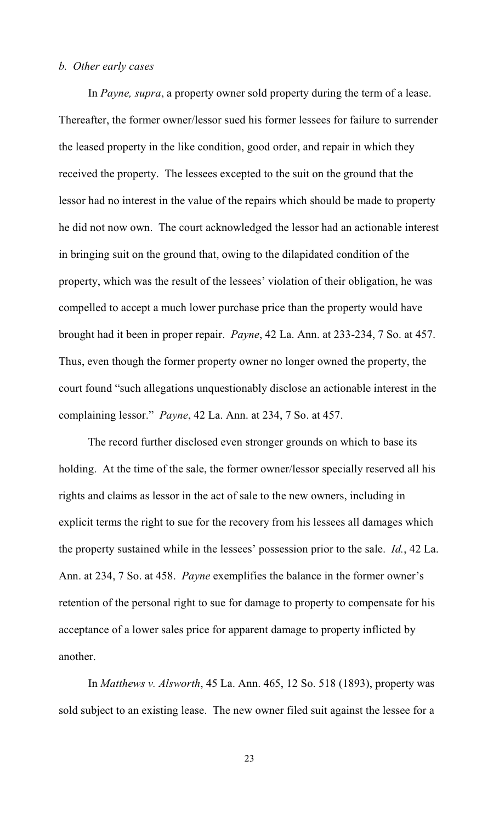# *b. Other early cases*

In *Payne, supra*, a property owner sold property during the term of a lease. Thereafter, the former owner/lessor sued his former lessees for failure to surrender the leased property in the like condition, good order, and repair in which they received the property. The lessees excepted to the suit on the ground that the lessor had no interest in the value of the repairs which should be made to property he did not now own. The court acknowledged the lessor had an actionable interest in bringing suit on the ground that, owing to the dilapidated condition of the property, which was the result of the lessees' violation of their obligation, he was compelled to accept a much lower purchase price than the property would have brought had it been in proper repair. *Payne*, 42 La. Ann. at 233-234, 7 So. at 457. Thus, even though the former property owner no longer owned the property, the court found "such allegations unquestionably disclose an actionable interest in the complaining lessor." *Payne*, 42 La. Ann. at 234, 7 So. at 457.

The record further disclosed even stronger grounds on which to base its holding. At the time of the sale, the former owner/lessor specially reserved all his rights and claims as lessor in the act of sale to the new owners, including in explicit terms the right to sue for the recovery from his lessees all damages which the property sustained while in the lessees' possession prior to the sale. *Id.*, 42 La. Ann. at 234, 7 So. at 458. *Payne* exemplifies the balance in the former owner's retention of the personal right to sue for damage to property to compensate for his acceptance of a lower sales price for apparent damage to property inflicted by another.

In *Matthews v. Alsworth*, 45 La. Ann. 465, 12 So. 518 (1893), property was sold subject to an existing lease. The new owner filed suit against the lessee for a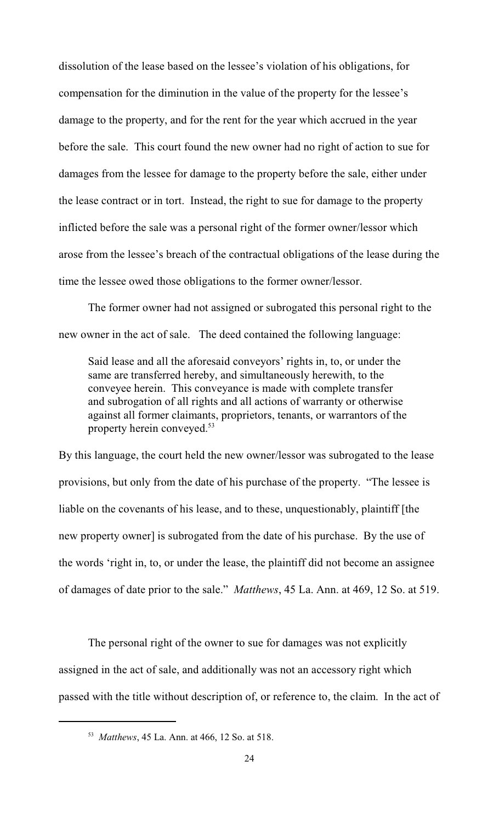dissolution of the lease based on the lessee's violation of his obligations, for compensation for the diminution in the value of the property for the lessee's damage to the property, and for the rent for the year which accrued in the year before the sale. This court found the new owner had no right of action to sue for damages from the lessee for damage to the property before the sale, either under the lease contract or in tort. Instead, the right to sue for damage to the property inflicted before the sale was a personal right of the former owner/lessor which arose from the lessee's breach of the contractual obligations of the lease during the time the lessee owed those obligations to the former owner/lessor.

The former owner had not assigned or subrogated this personal right to the new owner in the act of sale. The deed contained the following language:

Said lease and all the aforesaid conveyors' rights in, to, or under the same are transferred hereby, and simultaneously herewith, to the conveyee herein. This conveyance is made with complete transfer and subrogation of all rights and all actions of warranty or otherwise against all former claimants, proprietors, tenants, or warrantors of the property herein conveyed.<sup>53</sup>

By this language, the court held the new owner/lessor was subrogated to the lease provisions, but only from the date of his purchase of the property. "The lessee is liable on the covenants of his lease, and to these, unquestionably, plaintiff [the new property owner] is subrogated from the date of his purchase. By the use of the words 'right in, to, or under the lease, the plaintiff did not become an assignee of damages of date prior to the sale." *Matthews*, 45 La. Ann. at 469, 12 So. at 519.

The personal right of the owner to sue for damages was not explicitly assigned in the act of sale, and additionally was not an accessory right which passed with the title without description of, or reference to, the claim. In the act of

<sup>&</sup>lt;sup>53</sup> Matthews, 45 La. Ann. at 466, 12 So. at 518.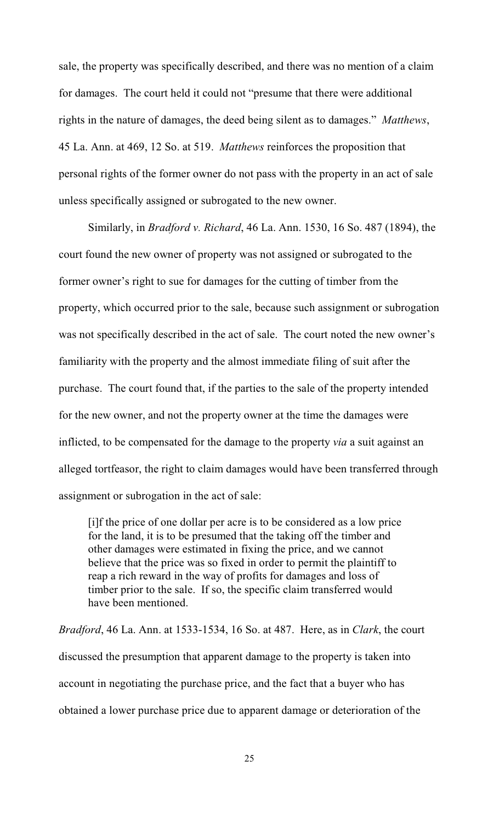sale, the property was specifically described, and there was no mention of a claim for damages. The court held it could not "presume that there were additional rights in the nature of damages, the deed being silent as to damages." *Matthews*, 45 La. Ann. at 469, 12 So. at 519. *Matthews* reinforces the proposition that personal rights of the former owner do not pass with the property in an act of sale unless specifically assigned or subrogated to the new owner.

Similarly, in *Bradford v. Richard*, 46 La. Ann. 1530, 16 So. 487 (1894), the court found the new owner of property was not assigned or subrogated to the former owner's right to sue for damages for the cutting of timber from the property, which occurred prior to the sale, because such assignment or subrogation was not specifically described in the act of sale. The court noted the new owner's familiarity with the property and the almost immediate filing of suit after the purchase. The court found that, if the parties to the sale of the property intended for the new owner, and not the property owner at the time the damages were inflicted, to be compensated for the damage to the property *via* a suit against an alleged tortfeasor, the right to claim damages would have been transferred through assignment or subrogation in the act of sale:

[i]f the price of one dollar per acre is to be considered as a low price for the land, it is to be presumed that the taking off the timber and other damages were estimated in fixing the price, and we cannot believe that the price was so fixed in order to permit the plaintiff to reap a rich reward in the way of profits for damages and loss of timber prior to the sale. If so, the specific claim transferred would have been mentioned.

*Bradford*, 46 La. Ann. at 1533-1534, 16 So. at 487. Here, as in *Clark*, the court discussed the presumption that apparent damage to the property is taken into account in negotiating the purchase price, and the fact that a buyer who has obtained a lower purchase price due to apparent damage or deterioration of the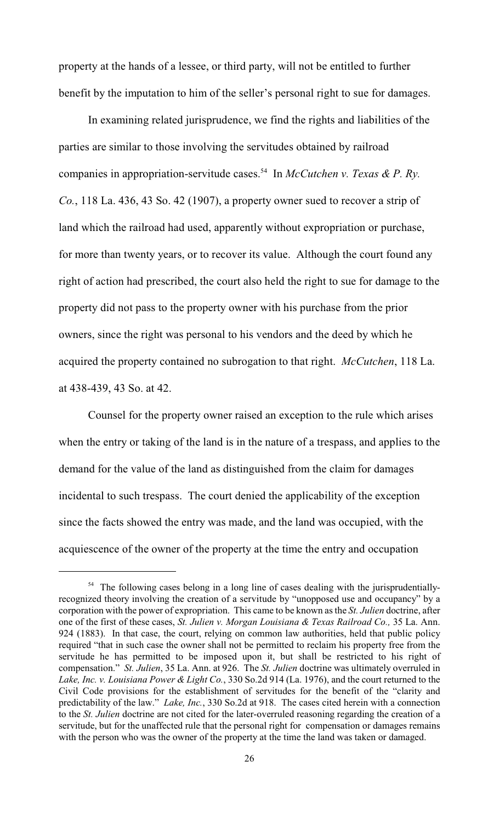property at the hands of a lessee, or third party, will not be entitled to further benefit by the imputation to him of the seller's personal right to sue for damages.

In examining related jurisprudence, we find the rights and liabilities of the parties are similar to those involving the servitudes obtained by railroad companies in appropriation-servitude cases.<sup>54</sup> In *McCutchen v. Texas & P. Ry. Co.*, 118 La. 436, 43 So. 42 (1907), a property owner sued to recover a strip of land which the railroad had used, apparently without expropriation or purchase, for more than twenty years, or to recover its value. Although the court found any right of action had prescribed, the court also held the right to sue for damage to the property did not pass to the property owner with his purchase from the prior owners, since the right was personal to his vendors and the deed by which he acquired the property contained no subrogation to that right. *McCutchen*, 118 La. at 438-439, 43 So. at 42.

Counsel for the property owner raised an exception to the rule which arises when the entry or taking of the land is in the nature of a trespass, and applies to the demand for the value of the land as distinguished from the claim for damages incidental to such trespass. The court denied the applicability of the exception since the facts showed the entry was made, and the land was occupied, with the acquiescence of the owner of the property at the time the entry and occupation

<sup>&</sup>lt;sup>54</sup> The following cases belong in a long line of cases dealing with the jurisprudentiallyrecognized theory involving the creation of a servitude by "unopposed use and occupancy" by a corporation with the power of expropriation. This came to be known as the *St. Julien* doctrine, after one of the first of these cases, *St. Julien v. Morgan Louisiana & Texas Railroad Co.,* 35 La. Ann. 924 (1883). In that case, the court, relying on common law authorities, held that public policy required "that in such case the owner shall not be permitted to reclaim his property free from the servitude he has permitted to be imposed upon it, but shall be restricted to his right of compensation." *St. Julien*, 35 La. Ann. at 926. The *St. Julien* doctrine was ultimately overruled in *Lake, Inc. v. Louisiana Power & Light Co.*, 330 So.2d 914 (La. 1976), and the court returned to the Civil Code provisions for the establishment of servitudes for the benefit of the "clarity and predictability of the law." *Lake, Inc.*, 330 So.2d at 918. The cases cited herein with a connection to the *St. Julien* doctrine are not cited for the later-overruled reasoning regarding the creation of a servitude, but for the unaffected rule that the personal right for compensation or damages remains with the person who was the owner of the property at the time the land was taken or damaged.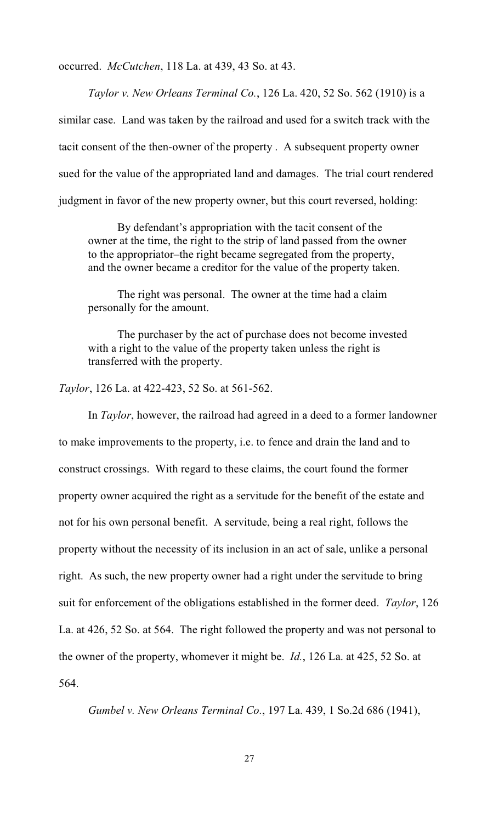occurred. *McCutchen*, 118 La. at 439, 43 So. at 43.

*Taylor v. New Orleans Terminal Co.*, 126 La. 420, 52 So. 562 (1910) is a similar case. Land was taken by the railroad and used for a switch track with the tacit consent of the then-owner of the property . A subsequent property owner sued for the value of the appropriated land and damages. The trial court rendered judgment in favor of the new property owner, but this court reversed, holding:

By defendant's appropriation with the tacit consent of the owner at the time, the right to the strip of land passed from the owner to the appropriator–the right became segregated from the property, and the owner became a creditor for the value of the property taken.

The right was personal. The owner at the time had a claim personally for the amount.

The purchaser by the act of purchase does not become invested with a right to the value of the property taken unless the right is transferred with the property.

*Taylor*, 126 La. at 422-423, 52 So. at 561-562.

In *Taylor*, however, the railroad had agreed in a deed to a former landowner to make improvements to the property, i.e. to fence and drain the land and to construct crossings. With regard to these claims, the court found the former property owner acquired the right as a servitude for the benefit of the estate and not for his own personal benefit. A servitude, being a real right, follows the property without the necessity of its inclusion in an act of sale, unlike a personal right. As such, the new property owner had a right under the servitude to bring suit for enforcement of the obligations established in the former deed. *Taylor*, 126 La. at 426, 52 So. at 564. The right followed the property and was not personal to the owner of the property, whomever it might be. *Id.*, 126 La. at 425, 52 So. at 564.

*Gumbel v. New Orleans Terminal Co.*, 197 La. 439, 1 So.2d 686 (1941),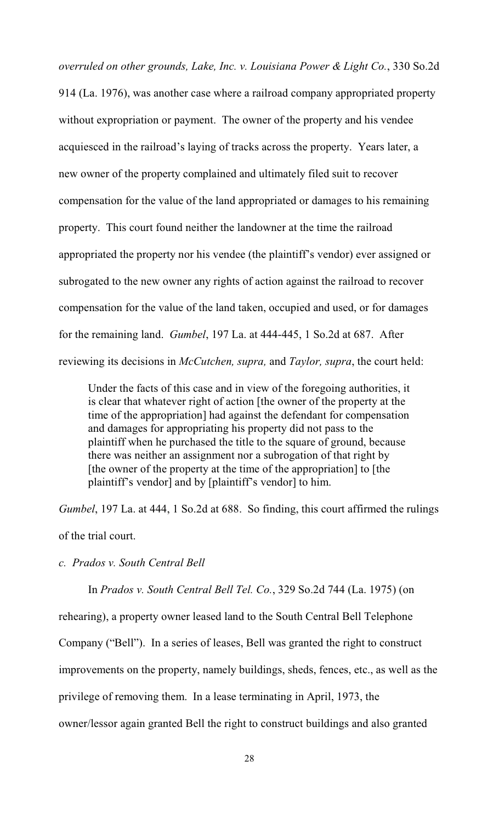*overruled on other grounds, Lake, Inc. v. Louisiana Power & Light Co.*, 330 So.2d 914 (La. 1976), was another case where a railroad company appropriated property without expropriation or payment. The owner of the property and his vendee acquiesced in the railroad's laying of tracks across the property. Years later, a new owner of the property complained and ultimately filed suit to recover compensation for the value of the land appropriated or damages to his remaining property. This court found neither the landowner at the time the railroad appropriated the property nor his vendee (the plaintiff's vendor) ever assigned or subrogated to the new owner any rights of action against the railroad to recover compensation for the value of the land taken, occupied and used, or for damages for the remaining land. *Gumbel*, 197 La. at 444-445, 1 So.2d at 687. After reviewing its decisions in *McCutchen, supra,* and *Taylor, supra*, the court held:

Under the facts of this case and in view of the foregoing authorities, it is clear that whatever right of action [the owner of the property at the time of the appropriation] had against the defendant for compensation and damages for appropriating his property did not pass to the plaintiff when he purchased the title to the square of ground, because there was neither an assignment nor a subrogation of that right by [the owner of the property at the time of the appropriation] to [the plaintiff's vendor] and by [plaintiff's vendor] to him.

*Gumbel*, 197 La. at 444, 1 So.2d at 688. So finding, this court affirmed the rulings of the trial court.

*c. Prados v. South Central Bell*

In *Prados v. South Central Bell Tel. Co.*, 329 So.2d 744 (La. 1975) (on

rehearing), a property owner leased land to the South Central Bell Telephone

Company ("Bell"). In a series of leases, Bell was granted the right to construct

improvements on the property, namely buildings, sheds, fences, etc., as well as the

privilege of removing them. In a lease terminating in April, 1973, the

owner/lessor again granted Bell the right to construct buildings and also granted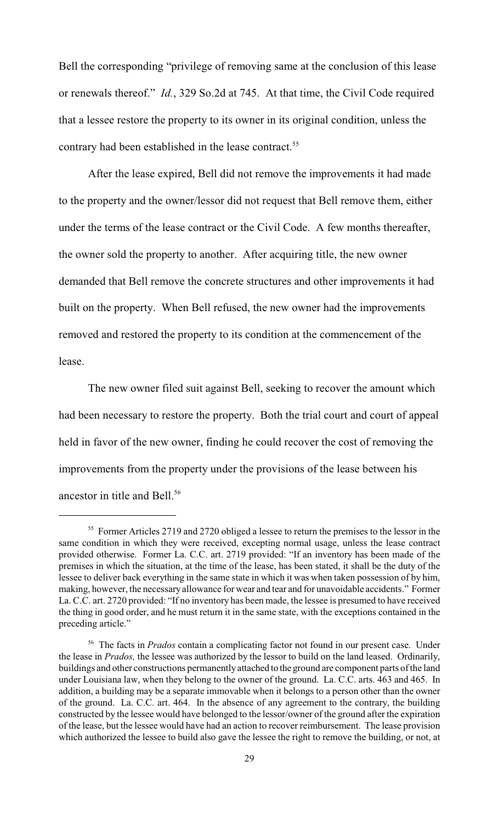Bell the corresponding "privilege of removing same at the conclusion of this lease or renewals thereof." *Id.*, 329 So.2d at 745. At that time, the Civil Code required that a lessee restore the property to its owner in its original condition, unless the contrary had been established in the lease contract. <sup>55</sup>

After the lease expired, Bell did not remove the improvements it had made to the property and the owner/lessor did not request that Bell remove them, either under the terms of the lease contract or the Civil Code. A few months thereafter, the owner sold the property to another. After acquiring title, the new owner demanded that Bell remove the concrete structures and other improvements it had built on the property. When Bell refused, the new owner had the improvements removed and restored the property to its condition at the commencement of the lease.

The new owner filed suit against Bell, seeking to recover the amount which had been necessary to restore the property. Both the trial court and court of appeal held in favor of the new owner, finding he could recover the cost of removing the improvements from the property under the provisions of the lease between his ancestor in title and Bell.<sup>56</sup>

 $55$  Former Articles 2719 and 2720 obliged a lessee to return the premises to the lessor in the same condition in which they were received, excepting normal usage, unless the lease contract provided otherwise. Former La. C.C. art. 2719 provided: "If an inventory has been made of the premises in which the situation, at the time of the lease, has been stated, it shall be the duty of the lessee to deliver back everything in the same state in which it was when taken possession of by him, making, however, the necessary allowance for wear and tear and for unavoidable accidents." Former La. C.C. art. 2720 provided: "If no inventory has been made, the lessee is presumed to have received the thing in good order, and he must return it in the same state, with the exceptions contained in the preceding article."

<sup>&</sup>lt;sup>56</sup> The facts in *Prados* contain a complicating factor not found in our present case. Under the lease in *Prados,* the lessee was authorized by the lessor to build on the land leased. Ordinarily, buildings and other constructions permanently attached to the ground are component parts of the land under Louisiana law, when they belong to the owner of the ground. La. C.C. arts. 463 and 465. In addition, a building may be a separate immovable when it belongs to a person other than the owner of the ground. La. C.C. art. 464. In the absence of any agreement to the contrary, the building constructed by the lessee would have belonged to the lessor/owner of the ground after the expiration of the lease, but the lessee would have had an action to recover reimbursement. The lease provision which authorized the lessee to build also gave the lessee the right to remove the building, or not, at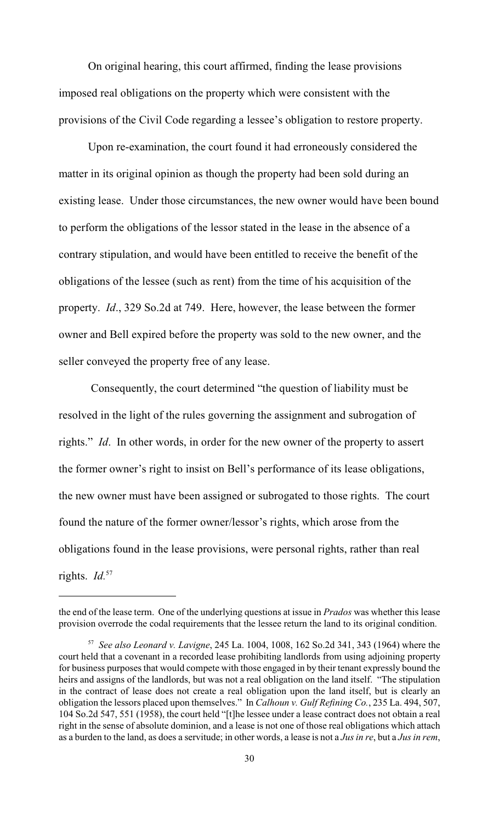On original hearing, this court affirmed, finding the lease provisions imposed real obligations on the property which were consistent with the provisions of the Civil Code regarding a lessee's obligation to restore property.

Upon re-examination, the court found it had erroneously considered the matter in its original opinion as though the property had been sold during an existing lease. Under those circumstances, the new owner would have been bound to perform the obligations of the lessor stated in the lease in the absence of a contrary stipulation, and would have been entitled to receive the benefit of the obligations of the lessee (such as rent) from the time of his acquisition of the property. *Id*., 329 So.2d at 749. Here, however, the lease between the former owner and Bell expired before the property was sold to the new owner, and the seller conveyed the property free of any lease.

 Consequently, the court determined "the question of liability must be resolved in the light of the rules governing the assignment and subrogation of rights." *Id*. In other words, in order for the new owner of the property to assert the former owner's right to insist on Bell's performance of its lease obligations, the new owner must have been assigned or subrogated to those rights. The court found the nature of the former owner/lessor's rights, which arose from the obligations found in the lease provisions, were personal rights, rather than real rights. *Id.*57

the end of the lease term. One of the underlying questions at issue in *Prados* was whether this lease provision overrode the codal requirements that the lessee return the land to its original condition.

*See also Leonard v. Lavigne*, 245 La. 1004, 1008, 162 So.2d 341, 343 (1964) where the <sup>57</sup> court held that a covenant in a recorded lease prohibiting landlords from using adjoining property for business purposes that would compete with those engaged in by their tenant expressly bound the heirs and assigns of the landlords, but was not a real obligation on the land itself. "The stipulation in the contract of lease does not create a real obligation upon the land itself, but is clearly an obligation the lessors placed upon themselves." In *Calhoun v. Gulf Refining Co.*, 235 La. 494, 507, 104 So.2d 547, 551 (1958), the court held "[t]he lessee under a lease contract does not obtain a real right in the sense of absolute dominion, and a lease is not one of those real obligations which attach as a burden to the land, as does a servitude; in other words, a lease is not a *Jus in re*, but a *Jus in rem*,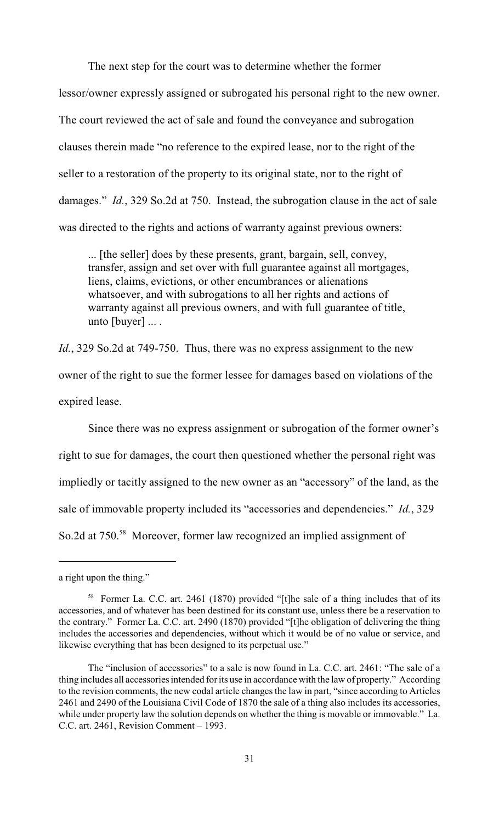The next step for the court was to determine whether the former

lessor/owner expressly assigned or subrogated his personal right to the new owner. The court reviewed the act of sale and found the conveyance and subrogation clauses therein made "no reference to the expired lease, nor to the right of the seller to a restoration of the property to its original state, nor to the right of damages." *Id.*, 329 So.2d at 750. Instead, the subrogation clause in the act of sale was directed to the rights and actions of warranty against previous owners:

... [the seller] does by these presents, grant, bargain, sell, convey, transfer, assign and set over with full guarantee against all mortgages, liens, claims, evictions, or other encumbrances or alienations whatsoever, and with subrogations to all her rights and actions of warranty against all previous owners, and with full guarantee of title, unto  $[buyer] \dots$ .

*Id.*, 329 So.2d at 749-750. Thus, there was no express assignment to the new

owner of the right to sue the former lessee for damages based on violations of the

expired lease.

Since there was no express assignment or subrogation of the former owner's right to sue for damages, the court then questioned whether the personal right was impliedly or tacitly assigned to the new owner as an "accessory" of the land, as the sale of immovable property included its "accessories and dependencies." *Id.*, 329 So.2d at 750.<sup>58</sup> Moreover, former law recognized an implied assignment of

a right upon the thing."

<sup>&</sup>lt;sup>58</sup> Former La. C.C. art. 2461 (1870) provided "[t]he sale of a thing includes that of its accessories, and of whatever has been destined for its constant use, unless there be a reservation to the contrary." Former La. C.C. art. 2490 (1870) provided "[t]he obligation of delivering the thing includes the accessories and dependencies, without which it would be of no value or service, and likewise everything that has been designed to its perpetual use."

The "inclusion of accessories" to a sale is now found in La. C.C. art. 2461: "The sale of a thing includes all accessories intended for its use in accordance with the law of property." According to the revision comments, the new codal article changes the law in part, "since according to Articles 2461 and 2490 of the Louisiana Civil Code of 1870 the sale of a thing also includes its accessories, while under property law the solution depends on whether the thing is movable or immovable." La. C.C. art. 2461, Revision Comment – 1993.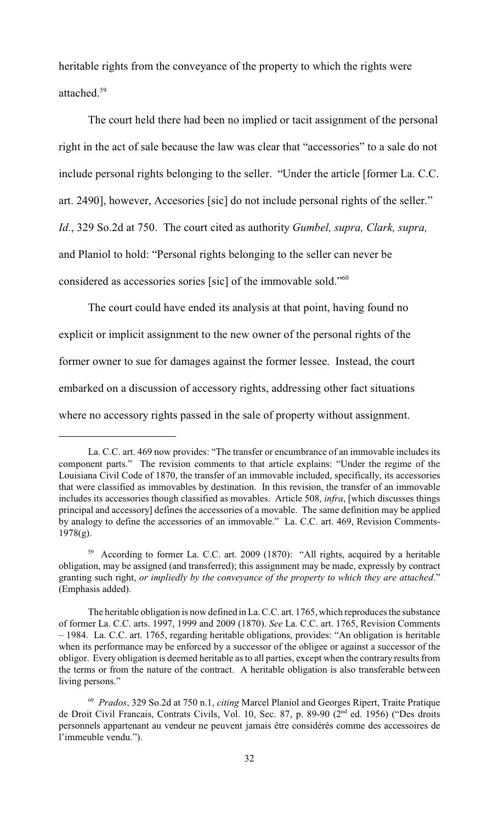heritable rights from the conveyance of the property to which the rights were attached. <sup>59</sup>

The court held there had been no implied or tacit assignment of the personal right in the act of sale because the law was clear that "accessories" to a sale do not include personal rights belonging to the seller. "Under the article [former La. C.C. art. 2490], however, Accesories [sic] do not include personal rights of the seller." *Id.*, 329 So.2d at 750. The court cited as authority *Gumbel, supra, Clark, supra,* and Planiol to hold: "Personal rights belonging to the seller can never be considered as accessories sories [sic] of the immovable sold."<sup>60</sup>

The court could have ended its analysis at that point, having found no explicit or implicit assignment to the new owner of the personal rights of the former owner to sue for damages against the former lessee.Instead, the court embarked on a discussion of accessory rights, addressing other fact situations where no accessory rights passed in the sale of property without assignment.

La. C.C. art. 469 now provides: "The transfer or encumbrance of an immovable includes its component parts." The revision comments to that article explains: "Under the regime of the Louisiana Civil Code of 1870, the transfer of an immovable included, specifically, its accessories that were classified as immovables by destination. In this revision, the transfer of an immovable includes its accessories though classified as movables. Article 508, *infra*, [which discusses things principal and accessory] defines the accessories of a movable. The same definition may be applied by analogy to define the accessories of an immovable." La. C.C. art. 469, Revision Comments-1978(g).

<sup>&</sup>lt;sup>59</sup> According to former La. C.C. art. 2009 (1870): "All rights, acquired by a heritable obligation, may be assigned (and transferred); this assignment may be made, expressly by contract granting such right, *or impliedly by the conveyance of the property to which they are attached*." (Emphasis added).

The heritable obligation is now defined in La. C.C. art. 1765, which reproduces the substance of former La. C.C. arts. 1997, 1999 and 2009 (1870). *See* La. C.C. art. 1765, Revision Comments – 1984. La. C.C. art. 1765, regarding heritable obligations, provides: "An obligation is heritable when its performance may be enforced by a successor of the obligee or against a successor of the obligor. Every obligation is deemed heritable as to all parties, except when the contrary results from the terms or from the nature of the contract. A heritable obligation is also transferable between living persons."

<sup>&</sup>lt;sup>60</sup> Prados, 329 So.2d at 750 n.1, *citing* Marcel Planiol and Georges Ripert, Traite Pratique de Droit Civil Francais, Contrats Civils, Vol. 10, Sec. 87, p. 89-90 (2<sup>nd</sup> ed. 1956) ("Des droits personnels appartenant au vendeur ne peuvent jamais être considérés comme des accessoires de l'immeuble vendu.").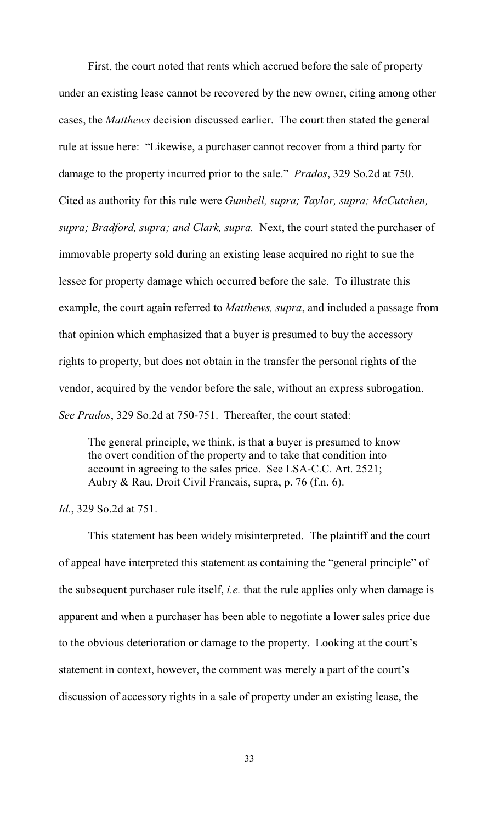First, the court noted that rents which accrued before the sale of property under an existing lease cannot be recovered by the new owner, citing among other cases, the *Matthews* decision discussed earlier. The court then stated the general rule at issue here: "Likewise, a purchaser cannot recover from a third party for damage to the property incurred prior to the sale." *Prados*, 329 So.2d at 750. Cited as authority for this rule were *Gumbell, supra; Taylor, supra; McCutchen, supra; Bradford, supra; and Clark, supra.* Next, the court stated the purchaser of immovable property sold during an existing lease acquired no right to sue the lessee for property damage which occurred before the sale. To illustrate this example, the court again referred to *Matthews, supra*, and included a passage from that opinion which emphasized that a buyer is presumed to buy the accessory rights to property, but does not obtain in the transfer the personal rights of the vendor, acquired by the vendor before the sale, without an express subrogation. *See Prados*, 329 So.2d at 750-751. Thereafter, the court stated:

The general principle, we think, is that a buyer is presumed to know the overt condition of the property and to take that condition into account in agreeing to the sales price. See LSA-C.C. Art. 2521; Aubry & Rau, Droit Civil Francais, supra, p. 76 (f.n. 6).

*Id.*, 329 So.2d at 751.

This statement has been widely misinterpreted. The plaintiff and the court of appeal have interpreted this statement as containing the "general principle" of the subsequent purchaser rule itself, *i.e.* that the rule applies only when damage is apparent and when a purchaser has been able to negotiate a lower sales price due to the obvious deterioration or damage to the property. Looking at the court's statement in context, however, the comment was merely a part of the court's discussion of accessory rights in a sale of property under an existing lease, the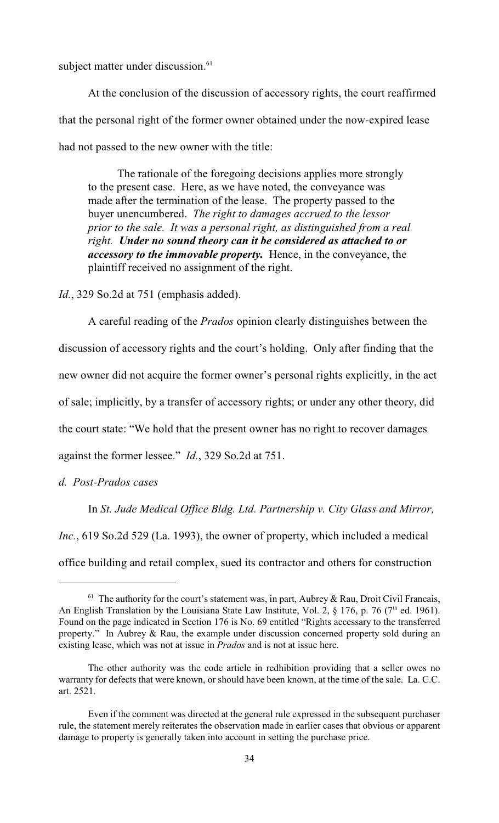subject matter under discussion.<sup>61</sup>

At the conclusion of the discussion of accessory rights, the court reaffirmed that the personal right of the former owner obtained under the now-expired lease had not passed to the new owner with the title:

The rationale of the foregoing decisions applies more strongly to the present case. Here, as we have noted, the conveyance was made after the termination of the lease. The property passed to the buyer unencumbered. *The right to damages accrued to the lessor prior to the sale. It was a personal right, as distinguished from a real right. Under no sound theory can it be considered as attached to or accessory to the immovable property.* Hence, in the conveyance, the plaintiff received no assignment of the right.

*Id.*, 329 So.2d at 751 (emphasis added).

A careful reading of the *Prados* opinion clearly distinguishes between the discussion of accessory rights and the court's holding. Only after finding that the new owner did not acquire the former owner's personal rights explicitly, in the act of sale; implicitly, by a transfer of accessory rights; or under any other theory, did the court state: "We hold that the present owner has no right to recover damages against the former lessee." *Id.*, 329 So.2d at 751.

*d. Post-Prados cases*

In *St. Jude Medical Office Bldg. Ltd. Partnership v. City Glass and Mirror, Inc.*, 619 So.2d 529 (La. 1993), the owner of property, which included a medical office building and retail complex, sued its contractor and others for construction

 $61$  The authority for the court's statement was, in part, Aubrey & Rau, Droit Civil Francais, An English Translation by the Louisiana State Law Institute, Vol. 2,  $\S$  176, p. 76 (7<sup>th</sup> ed. 1961). Found on the page indicated in Section 176 is No. 69 entitled "Rights accessary to the transferred property." In Aubrey & Rau, the example under discussion concerned property sold during an existing lease, which was not at issue in *Prados* and is not at issue here.

The other authority was the code article in redhibition providing that a seller owes no warranty for defects that were known, or should have been known, at the time of the sale. La. C.C. art. 2521.

Even if the comment was directed at the general rule expressed in the subsequent purchaser rule, the statement merely reiterates the observation made in earlier cases that obvious or apparent damage to property is generally taken into account in setting the purchase price.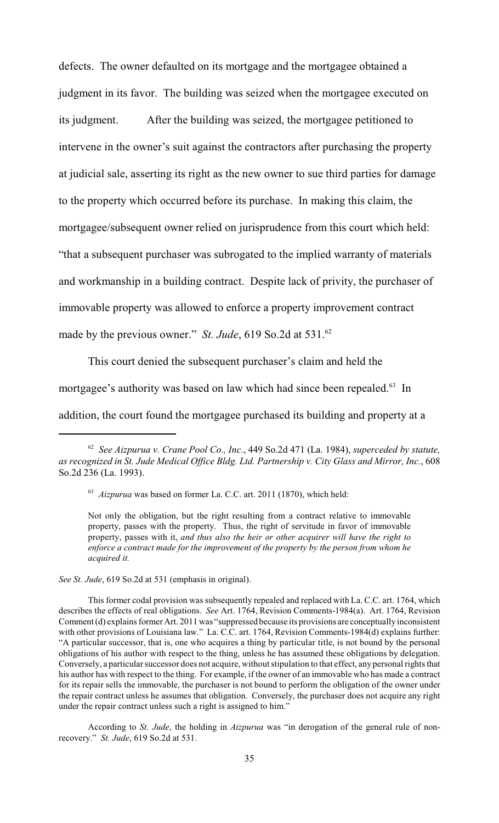defects. The owner defaulted on its mortgage and the mortgagee obtained a judgment in its favor. The building was seized when the mortgagee executed on its judgment. After the building was seized, the mortgagee petitioned to intervene in the owner's suit against the contractors after purchasing the property at judicial sale, asserting its right as the new owner to sue third parties for damage to the property which occurred before its purchase. In making this claim, the mortgagee/subsequent owner relied on jurisprudence from this court which held: "that a subsequent purchaser was subrogated to the implied warranty of materials and workmanship in a building contract. Despite lack of privity, the purchaser of immovable property was allowed to enforce a property improvement contract made by the previous owner." *St. Jude*, 619 So.2d at 531.<sup>62</sup>

This court denied the subsequent purchaser's claim and held the mortgagee's authority was based on law which had since been repealed. $63$  In addition, the court found the mortgagee purchased its building and property at a

*See St. Jude*, 619 So.2d at 531 (emphasis in original).

According to *St. Jude*, the holding in *Aizpurua* was "in derogation of the general rule of nonrecovery." *St. Jude*, 619 So.2d at 531.

<sup>&</sup>lt;sup>62</sup> See Aizpurua v. Crane Pool Co., Inc., 449 So.2d 471 (La. 1984), *superceded by statute*, *as recognized in St. Jude Medical Office Bldg. Ltd. Partnership v. City Glass and Mirror, Inc.*, 608 So.2d 236 (La. 1993).

<sup>&</sup>lt;sup>63</sup> Aizpurua was based on former La. C.C. art. 2011 (1870), which held:

Not only the obligation, but the right resulting from a contract relative to immovable property, passes with the property. Thus, the right of servitude in favor of immovable property, passes with it, *and thus also the heir or other acquirer will have the right to enforce a contract made for the improvement of the property by the person from whom he acquired it.*

This former codal provision was subsequently repealed and replaced with La. C.C. art. 1764, which describes the effects of real obligations. *See* Art. 1764, Revision Comments-1984(a). Art. 1764, Revision Comment (d) explains former Art. 2011 was "suppressed because its provisions are conceptually inconsistent with other provisions of Louisiana law." La. C.C. art. 1764, Revision Comments-1984(d) explains further: "A particular successor, that is, one who acquires a thing by particular title, is not bound by the personal obligations of his author with respect to the thing, unless he has assumed these obligations by delegation. Conversely, a particular successor does not acquire, without stipulation to that effect, any personal rights that his author has with respect to the thing. For example, if the owner of an immovable who has made a contract for its repair sells the immovable, the purchaser is not bound to perform the obligation of the owner under the repair contract unless he assumes that obligation. Conversely, the purchaser does not acquire any right under the repair contract unless such a right is assigned to him."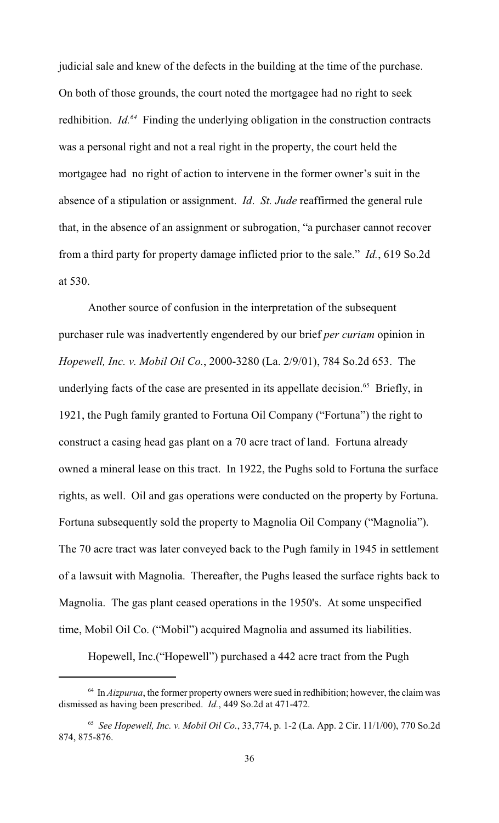judicial sale and knew of the defects in the building at the time of the purchase. On both of those grounds, the court noted the mortgagee had no right to seek redhibition.  $Id^{64}$  Finding the underlying obligation in the construction contracts was a personal right and not a real right in the property, the court held the mortgagee had no right of action to intervene in the former owner's suit in the absence of a stipulation or assignment. *Id*. *St. Jude* reaffirmed the general rule that, in the absence of an assignment or subrogation, "a purchaser cannot recover from a third party for property damage inflicted prior to the sale." *Id.*, 619 So.2d at 530.

Another source of confusion in the interpretation of the subsequent purchaser rule was inadvertently engendered by our brief *per curiam* opinion in *Hopewell, Inc. v. Mobil Oil Co.*, 2000-3280 (La. 2/9/01), 784 So.2d 653. The underlying facts of the case are presented in its appellate decision.<sup> $65$ </sup> Briefly, in 1921, the Pugh family granted to Fortuna Oil Company ("Fortuna") the right to construct a casing head gas plant on a 70 acre tract of land. Fortuna already owned a mineral lease on this tract. In 1922, the Pughs sold to Fortuna the surface rights, as well. Oil and gas operations were conducted on the property by Fortuna. Fortuna subsequently sold the property to Magnolia Oil Company ("Magnolia"). The 70 acre tract was later conveyed back to the Pugh family in 1945 in settlement of a lawsuit with Magnolia. Thereafter, the Pughs leased the surface rights back to Magnolia. The gas plant ceased operations in the 1950's. At some unspecified time, Mobil Oil Co. ("Mobil") acquired Magnolia and assumed its liabilities.

Hopewell, Inc.("Hopewell") purchased a 442 acre tract from the Pugh

 $10<sup>64</sup>$  In *Aizpurua*, the former property owners were sued in redhibition; however, the claim was dismissed as having been prescribed. *Id.*, 449 So.2d at 471-472.

<sup>&</sup>lt;sup>65</sup> See Hopewell, Inc. v. Mobil Oil Co., 33,774, p. 1-2 (La. App. 2 Cir. 11/1/00), 770 So.2d 874, 875-876.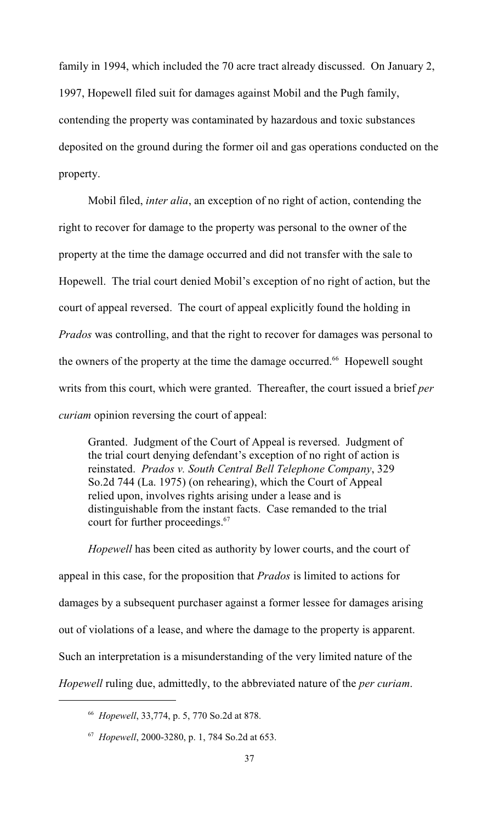family in 1994, which included the 70 acre tract already discussed. On January 2, 1997, Hopewell filed suit for damages against Mobil and the Pugh family, contending the property was contaminated by hazardous and toxic substances deposited on the ground during the former oil and gas operations conducted on the property.

Mobil filed, *inter alia*, an exception of no right of action, contending the right to recover for damage to the property was personal to the owner of the property at the time the damage occurred and did not transfer with the sale to Hopewell. The trial court denied Mobil's exception of no right of action, but the court of appeal reversed. The court of appeal explicitly found the holding in *Prados* was controlling, and that the right to recover for damages was personal to the owners of the property at the time the damage occurred.<sup>66</sup> Hopewell sought writs from this court, which were granted. Thereafter, the court issued a brief *per curiam* opinion reversing the court of appeal:

Granted. Judgment of the Court of Appeal is reversed. Judgment of the trial court denying defendant's exception of no right of action is reinstated. *Prados v. South Central Bell Telephone Company*, 329 So.2d 744 (La. 1975) (on rehearing), which the Court of Appeal relied upon, involves rights arising under a lease and is distinguishable from the instant facts. Case remanded to the trial court for further proceedings.<sup>67</sup>

*Hopewell* has been cited as authority by lower courts, and the court of appeal in this case, for the proposition that *Prados* is limited to actions for damages by a subsequent purchaser against a former lessee for damages arising out of violations of a lease, and where the damage to the property is apparent. Such an interpretation is a misunderstanding of the very limited nature of the *Hopewell* ruling due, admittedly, to the abbreviated nature of the *per curiam*.

<sup>&</sup>lt;sup>66</sup> Hopewell, 33,774, p. 5, 770 So.2d at 878.

<sup>&</sup>lt;sup>67</sup> Hopewell, 2000-3280, p. 1, 784 So.2d at 653.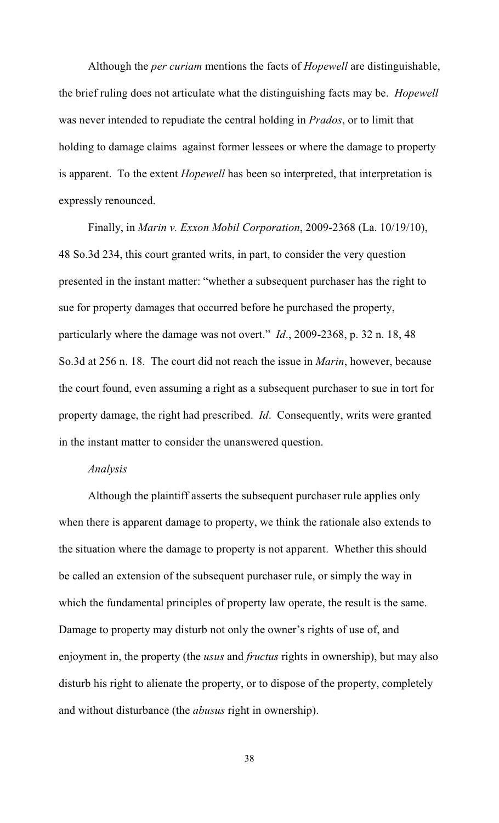Although the *per curiam* mentions the facts of *Hopewell* are distinguishable, the brief ruling does not articulate what the distinguishing facts may be. *Hopewell* was never intended to repudiate the central holding in *Prados*, or to limit that holding to damage claims against former lessees or where the damage to property is apparent. To the extent *Hopewell* has been so interpreted, that interpretation is expressly renounced.

Finally, in *Marin v. Exxon Mobil Corporation*, 2009-2368 (La. 10/19/10), 48 So.3d 234, this court granted writs, in part, to consider the very question presented in the instant matter: "whether a subsequent purchaser has the right to sue for property damages that occurred before he purchased the property, particularly where the damage was not overt." *Id*., 2009-2368, p. 32 n. 18, 48 So.3d at 256 n. 18. The court did not reach the issue in *Marin*, however, because the court found, even assuming a right as a subsequent purchaser to sue in tort for property damage, the right had prescribed. *Id*. Consequently, writs were granted in the instant matter to consider the unanswered question.

#### *Analysis*

Although the plaintiff asserts the subsequent purchaser rule applies only when there is apparent damage to property, we think the rationale also extends to the situation where the damage to property is not apparent. Whether this should be called an extension of the subsequent purchaser rule, or simply the way in which the fundamental principles of property law operate, the result is the same. Damage to property may disturb not only the owner's rights of use of, and enjoyment in, the property (the *usus* and *fructus* rights in ownership), but may also disturb his right to alienate the property, or to dispose of the property, completely and without disturbance (the *abusus* right in ownership).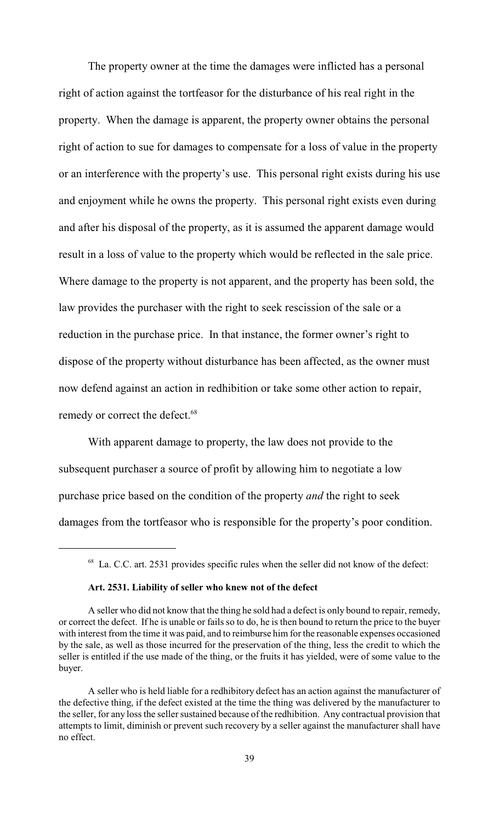The property owner at the time the damages were inflicted has a personal right of action against the tortfeasor for the disturbance of his real right in the property. When the damage is apparent, the property owner obtains the personal right of action to sue for damages to compensate for a loss of value in the property or an interference with the property's use. This personal right exists during his use and enjoyment while he owns the property. This personal right exists even during and after his disposal of the property, as it is assumed the apparent damage would result in a loss of value to the property which would be reflected in the sale price. Where damage to the property is not apparent, and the property has been sold, the law provides the purchaser with the right to seek rescission of the sale or a reduction in the purchase price. In that instance, the former owner's right to dispose of the property without disturbance has been affected, as the owner must now defend against an action in redhibition or take some other action to repair, remedy or correct the defect.<sup>68</sup>

With apparent damage to property, the law does not provide to the subsequent purchaser a source of profit by allowing him to negotiate a low purchase price based on the condition of the property *and* the right to seek damages from the tortfeasor who is responsible for the property's poor condition.

#### **Art. 2531. Liability of seller who knew not of the defect**

<sup>&</sup>lt;sup>68</sup> La. C.C. art. 2531 provides specific rules when the seller did not know of the defect:

A seller who did not know that the thing he sold had a defect is only bound to repair, remedy, or correct the defect. If he is unable or fails so to do, he is then bound to return the price to the buyer with interest from the time it was paid, and to reimburse him for the reasonable expenses occasioned by the sale, as well as those incurred for the preservation of the thing, less the credit to which the seller is entitled if the use made of the thing, or the fruits it has yielded, were of some value to the buyer.

A seller who is held liable for a redhibitory defect has an action against the manufacturer of the defective thing, if the defect existed at the time the thing was delivered by the manufacturer to the seller, for any loss the seller sustained because of the redhibition. Any contractual provision that attempts to limit, diminish or prevent such recovery by a seller against the manufacturer shall have no effect.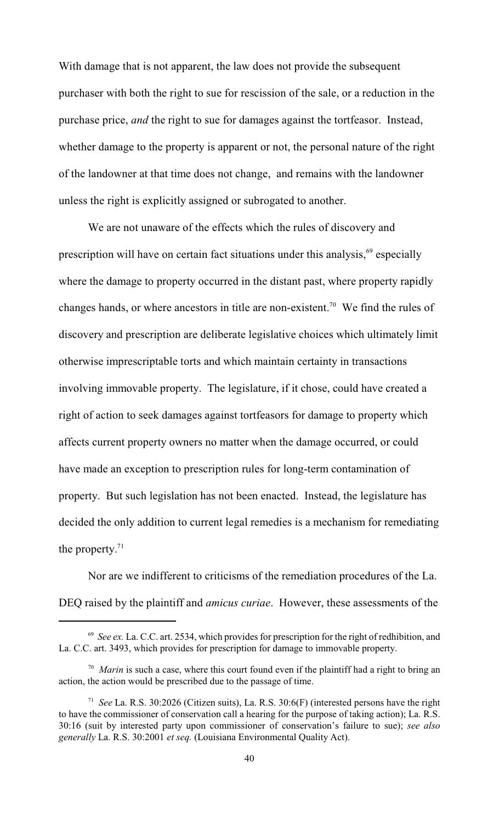With damage that is not apparent, the law does not provide the subsequent purchaser with both the right to sue for rescission of the sale, or a reduction in the purchase price, *and* the right to sue for damages against the tortfeasor. Instead, whether damage to the property is apparent or not, the personal nature of the right of the landowner at that time does not change, and remains with the landowner unless the right is explicitly assigned or subrogated to another.

We are not unaware of the effects which the rules of discovery and prescription will have on certain fact situations under this analysis,  $69$  especially where the damage to property occurred in the distant past, where property rapidly changes hands, or where ancestors in title are non-existent.<sup>70</sup> We find the rules of discovery and prescription are deliberate legislative choices which ultimately limit otherwise imprescriptable torts and which maintain certainty in transactions involving immovable property. The legislature, if it chose, could have created a right of action to seek damages against tortfeasors for damage to property which affects current property owners no matter when the damage occurred, or could have made an exception to prescription rules for long-term contamination of property. But such legislation has not been enacted. Instead, the legislature has decided the only addition to current legal remedies is a mechanism for remediating the property. $71$ 

Nor are we indifferent to criticisms of the remediation procedures of the La. DEQ raised by the plaintiff and *amicus curiae*. However, these assessments of the

 $^{69}$  *See ex.* La. C.C. art. 2534, which provides for prescription for the right of redhibition, and La. C.C. art. 3493, which provides for prescription for damage to immovable property.

<sup>&</sup>lt;sup>70</sup> Marin is such a case, where this court found even if the plaintiff had a right to bring an action, the action would be prescribed due to the passage of time.

<sup>&</sup>lt;sup>71</sup> See La. R.S. 30:2026 (Citizen suits), La. R.S. 30:6(F) (interested persons have the right to have the commissioner of conservation call a hearing for the purpose of taking action); La. R.S. 30:16 (suit by interested party upon commissioner of conservation's failure to sue); *see also generally* La. R.S. 30:2001 *et seq.* (Louisiana Environmental Quality Act).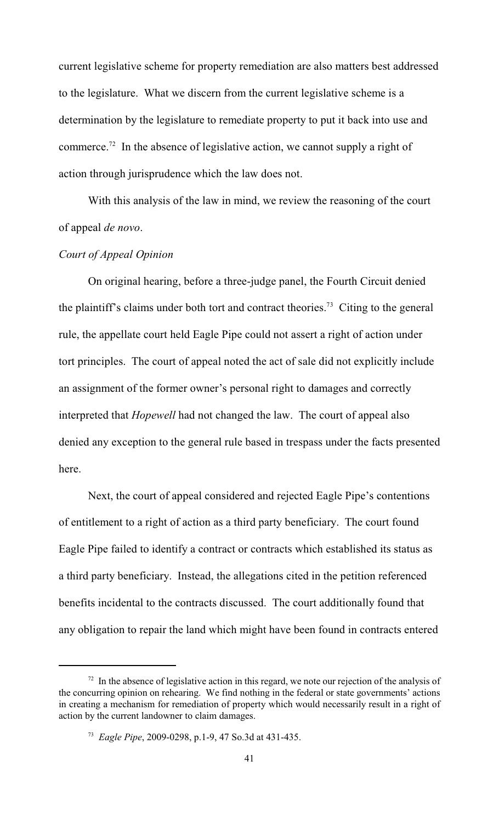current legislative scheme for property remediation are also matters best addressed to the legislature. What we discern from the current legislative scheme is a determination by the legislature to remediate property to put it back into use and commerce.<sup>72</sup> In the absence of legislative action, we cannot supply a right of action through jurisprudence which the law does not.

With this analysis of the law in mind, we review the reasoning of the court of appeal *de novo*.

# *Court of Appeal Opinion*

On original hearing, before a three-judge panel, the Fourth Circuit denied the plaintiff's claims under both tort and contract theories.<sup>73</sup> Citing to the general rule, the appellate court held Eagle Pipe could not assert a right of action under tort principles. The court of appeal noted the act of sale did not explicitly include an assignment of the former owner's personal right to damages and correctly interpreted that *Hopewell* had not changed the law. The court of appeal also denied any exception to the general rule based in trespass under the facts presented here.

Next, the court of appeal considered and rejected Eagle Pipe's contentions of entitlement to a right of action as a third party beneficiary. The court found Eagle Pipe failed to identify a contract or contracts which established its status as a third party beneficiary. Instead, the allegations cited in the petition referenced benefits incidental to the contracts discussed. The court additionally found that any obligation to repair the land which might have been found in contracts entered

 $12<sup>72</sup>$  In the absence of legislative action in this regard, we note our rejection of the analysis of the concurring opinion on rehearing. We find nothing in the federal or state governments' actions in creating a mechanism for remediation of property which would necessarily result in a right of action by the current landowner to claim damages.

<sup>&</sup>lt;sup>73</sup> *Eagle Pipe*, 2009-0298, p.1-9, 47 So.3d at 431-435.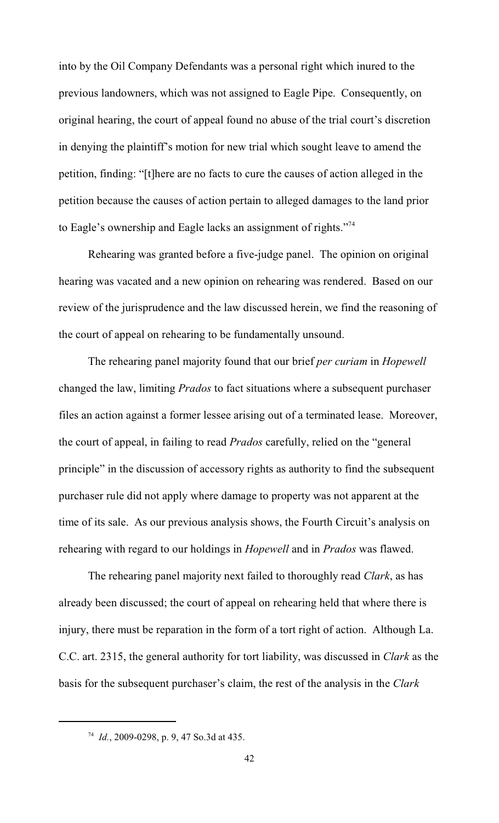into by the Oil Company Defendants was a personal right which inured to the previous landowners, which was not assigned to Eagle Pipe. Consequently, on original hearing, the court of appeal found no abuse of the trial court's discretion in denying the plaintiff's motion for new trial which sought leave to amend the petition, finding: "[t]here are no facts to cure the causes of action alleged in the petition because the causes of action pertain to alleged damages to the land prior to Eagle's ownership and Eagle lacks an assignment of rights."<sup>74</sup>

Rehearing was granted before a five-judge panel. The opinion on original hearing was vacated and a new opinion on rehearing was rendered. Based on our review of the jurisprudence and the law discussed herein, we find the reasoning of the court of appeal on rehearing to be fundamentally unsound.

The rehearing panel majority found that our brief *per curiam* in *Hopewell* changed the law, limiting *Prados* to fact situations where a subsequent purchaser files an action against a former lessee arising out of a terminated lease. Moreover, the court of appeal, in failing to read *Prados* carefully, relied on the "general principle" in the discussion of accessory rights as authority to find the subsequent purchaser rule did not apply where damage to property was not apparent at the time of its sale. As our previous analysis shows, the Fourth Circuit's analysis on rehearing with regard to our holdings in *Hopewell* and in *Prados* was flawed.

The rehearing panel majority next failed to thoroughly read *Clark*, as has already been discussed; the court of appeal on rehearing held that where there is injury, there must be reparation in the form of a tort right of action. Although La. C.C. art. 2315, the general authority for tort liability, was discussed in *Clark* as the basis for the subsequent purchaser's claim, the rest of the analysis in the *Clark*

<sup>&</sup>lt;sup>74</sup> *Id.*, 2009-0298, p. 9, 47 So.3d at 435.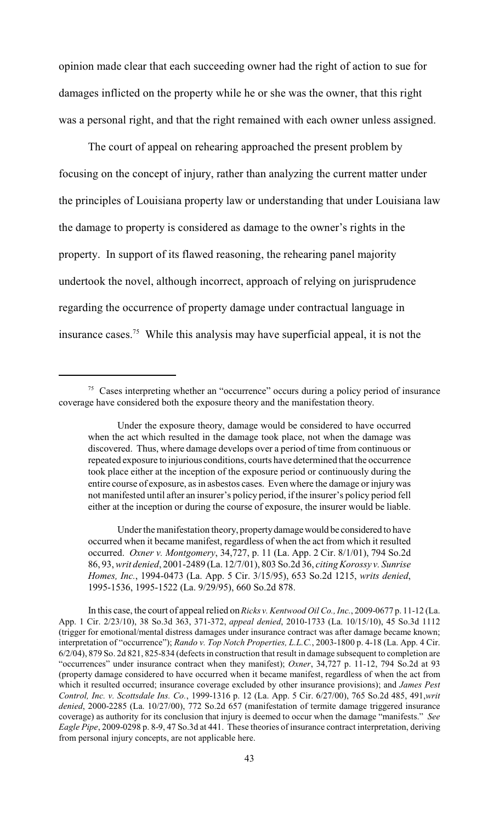opinion made clear that each succeeding owner had the right of action to sue for damages inflicted on the property while he or she was the owner, that this right was a personal right, and that the right remained with each owner unless assigned.

The court of appeal on rehearing approached the present problem by focusing on the concept of injury, rather than analyzing the current matter under the principles of Louisiana property law or understanding that under Louisiana law the damage to property is considered as damage to the owner's rights in the property. In support of its flawed reasoning, the rehearing panel majority undertook the novel, although incorrect, approach of relying on jurisprudence regarding the occurrence of property damage under contractual language in insurance cases.<sup>75</sup> While this analysis may have superficial appeal, it is not the

 $75$  Cases interpreting whether an "occurrence" occurs during a policy period of insurance coverage have considered both the exposure theory and the manifestation theory.

Under the exposure theory, damage would be considered to have occurred when the act which resulted in the damage took place, not when the damage was discovered. Thus, where damage develops over a period of time from continuous or repeated exposure to injurious conditions, courts have determined that the occurrence took place either at the inception of the exposure period or continuously during the entire course of exposure, as in asbestos cases. Even where the damage or injury was not manifested until after an insurer's policy period, if the insurer's policy period fell either at the inception or during the course of exposure, the insurer would be liable.

Under the manifestation theory, property damage would be considered to have occurred when it became manifest, regardless of when the act from which it resulted occurred. *Oxner v. Montgomery*, 34,727, p. 11 (La. App. 2 Cir. 8/1/01), 794 So.2d 86, 93, *writ denied*, 2001-2489 (La. 12/7/01), 803 So.2d 36, *citing Korossy v. Sunrise Homes, Inc.*, 1994-0473 (La. App. 5 Cir. 3/15/95), 653 So.2d 1215, *writs denied*, 1995-1536, 1995-1522 (La. 9/29/95), 660 So.2d 878.

In this case, the court of appeal relied on *Ricks v. Kentwood Oil Co., Inc.*, 2009-0677 p. 11-12 (La. App. 1 Cir. 2/23/10), 38 So.3d 363, 371-372, *appeal denied*, 2010-1733 (La. 10/15/10), 45 So.3d 1112 (trigger for emotional/mental distress damages under insurance contract was after damage became known; interpretation of "occurrence"); *Rando v. Top Notch Properties, L.L.C.*, 2003-1800 p. 4-18 (La. App. 4 Cir. 6/2/04), 879 So. 2d 821, 825-834 (defects in construction that result in damage subsequent to completion are "occurrences" under insurance contract when they manifest); *Oxner*, 34,727 p. 11-12, 794 So.2d at 93 (property damage considered to have occurred when it became manifest, regardless of when the act from which it resulted occurred; insurance coverage excluded by other insurance provisions); and *James Pest Control, Inc. v. Scottsdale Ins. Co.*, 1999-1316 p. 12 (La. App. 5 Cir. 6/27/00), 765 So.2d 485, 491,*writ denied*, 2000-2285 (La. 10/27/00), 772 So.2d 657 (manifestation of termite damage triggered insurance coverage) as authority for its conclusion that injury is deemed to occur when the damage "manifests." *See Eagle Pipe*, 2009-0298 p. 8-9, 47 So.3d at 441. These theories of insurance contract interpretation, deriving from personal injury concepts, are not applicable here.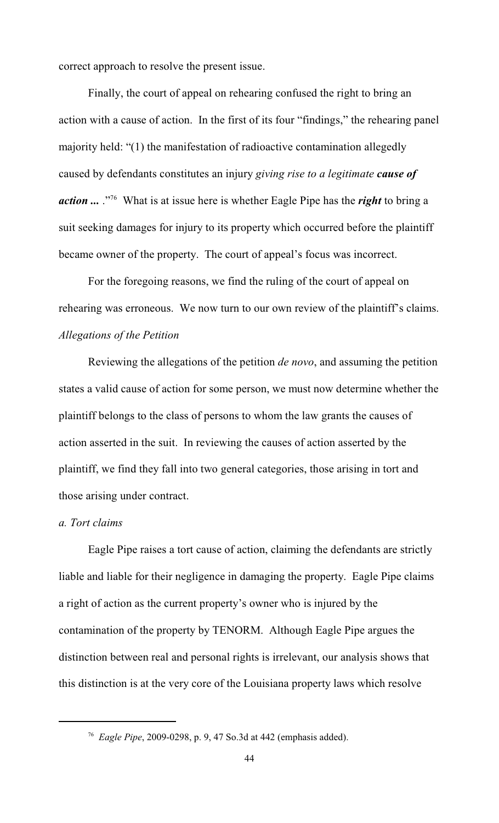correct approach to resolve the present issue.

Finally, the court of appeal on rehearing confused the right to bring an action with a cause of action. In the first of its four "findings," the rehearing panel majority held: "(1) the manifestation of radioactive contamination allegedly caused by defendants constitutes an injury *giving rise to a legitimate cause of action* ... .<sup>"76</sup> What is at issue here is whether Eagle Pipe has the *right* to bring a suit seeking damages for injury to its property which occurred before the plaintiff became owner of the property. The court of appeal's focus was incorrect.

 For the foregoing reasons, we find the ruling of the court of appeal on rehearing was erroneous. We now turn to our own review of the plaintiff's claims. *Allegations of the Petition*

Reviewing the allegations of the petition *de novo*, and assuming the petition states a valid cause of action for some person, we must now determine whether the plaintiff belongs to the class of persons to whom the law grants the causes of action asserted in the suit. In reviewing the causes of action asserted by the plaintiff, we find they fall into two general categories, those arising in tort and those arising under contract.

# *a. Tort claims*

Eagle Pipe raises a tort cause of action, claiming the defendants are strictly liable and liable for their negligence in damaging the property. Eagle Pipe claims a right of action as the current property's owner who is injured by the contamination of the property by TENORM. Although Eagle Pipe argues the distinction between real and personal rights is irrelevant, our analysis shows that this distinction is at the very core of the Louisiana property laws which resolve

*Eagle Pipe*, 2009-0298, p. 9, 47 So.3d at 442 (emphasis added). <sup>76</sup>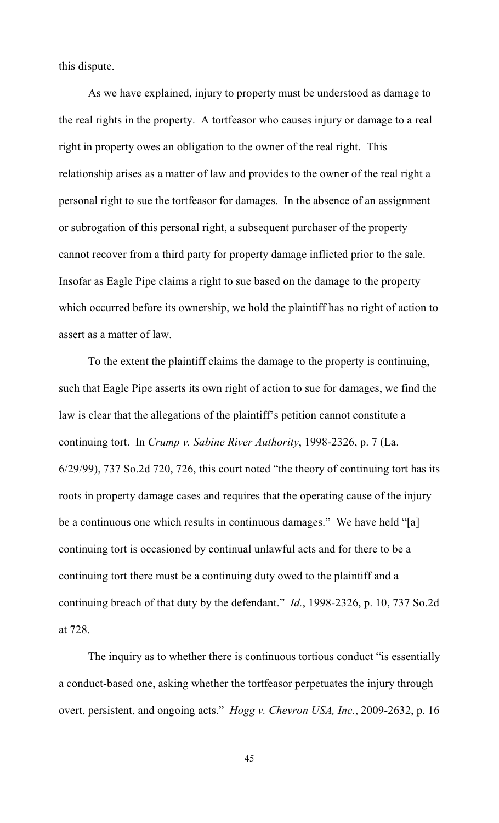this dispute.

As we have explained, injury to property must be understood as damage to the real rights in the property. A tortfeasor who causes injury or damage to a real right in property owes an obligation to the owner of the real right. This relationship arises as a matter of law and provides to the owner of the real right a personal right to sue the tortfeasor for damages. In the absence of an assignment or subrogation of this personal right, a subsequent purchaser of the property cannot recover from a third party for property damage inflicted prior to the sale. Insofar as Eagle Pipe claims a right to sue based on the damage to the property which occurred before its ownership, we hold the plaintiff has no right of action to assert as a matter of law.

To the extent the plaintiff claims the damage to the property is continuing, such that Eagle Pipe asserts its own right of action to sue for damages, we find the law is clear that the allegations of the plaintiff's petition cannot constitute a continuing tort. In *Crump v. Sabine River Authority*, 1998-2326, p. 7 (La. 6/29/99), 737 So.2d 720, 726, this court noted "the theory of continuing tort has its roots in property damage cases and requires that the operating cause of the injury be a continuous one which results in continuous damages." We have held "[a] continuing tort is occasioned by continual unlawful acts and for there to be a continuing tort there must be a continuing duty owed to the plaintiff and a continuing breach of that duty by the defendant." *Id.*, 1998-2326, p. 10, 737 So.2d at 728.

The inquiry as to whether there is continuous tortious conduct "is essentially a conduct-based one, asking whether the tortfeasor perpetuates the injury through overt, persistent, and ongoing acts." *Hogg v. Chevron USA, Inc.*, 2009-2632, p. 16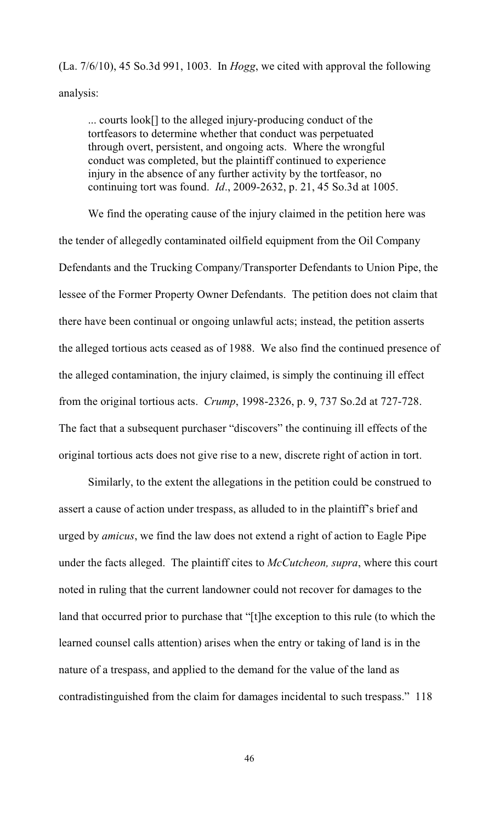(La. 7/6/10), 45 So.3d 991, 1003. In *Hogg*, we cited with approval the following analysis:

... courts look[] to the alleged injury-producing conduct of the tortfeasors to determine whether that conduct was perpetuated through overt, persistent, and ongoing acts. Where the wrongful conduct was completed, but the plaintiff continued to experience injury in the absence of any further activity by the tortfeasor, no continuing tort was found. *Id*., 2009-2632, p. 21, 45 So.3d at 1005.

We find the operating cause of the injury claimed in the petition here was the tender of allegedly contaminated oilfield equipment from the Oil Company Defendants and the Trucking Company/Transporter Defendants to Union Pipe, the lessee of the Former Property Owner Defendants. The petition does not claim that there have been continual or ongoing unlawful acts; instead, the petition asserts the alleged tortious acts ceased as of 1988. We also find the continued presence of the alleged contamination, the injury claimed, is simply the continuing ill effect from the original tortious acts. *Crump*, 1998-2326, p. 9, 737 So.2d at 727-728. The fact that a subsequent purchaser "discovers" the continuing ill effects of the original tortious acts does not give rise to a new, discrete right of action in tort.

Similarly, to the extent the allegations in the petition could be construed to assert a cause of action under trespass, as alluded to in the plaintiff's brief and urged by *amicus*, we find the law does not extend a right of action to Eagle Pipe under the facts alleged. The plaintiff cites to *McCutcheon, supra*, where this court noted in ruling that the current landowner could not recover for damages to the land that occurred prior to purchase that "[t]he exception to this rule (to which the learned counsel calls attention) arises when the entry or taking of land is in the nature of a trespass, and applied to the demand for the value of the land as contradistinguished from the claim for damages incidental to such trespass." 118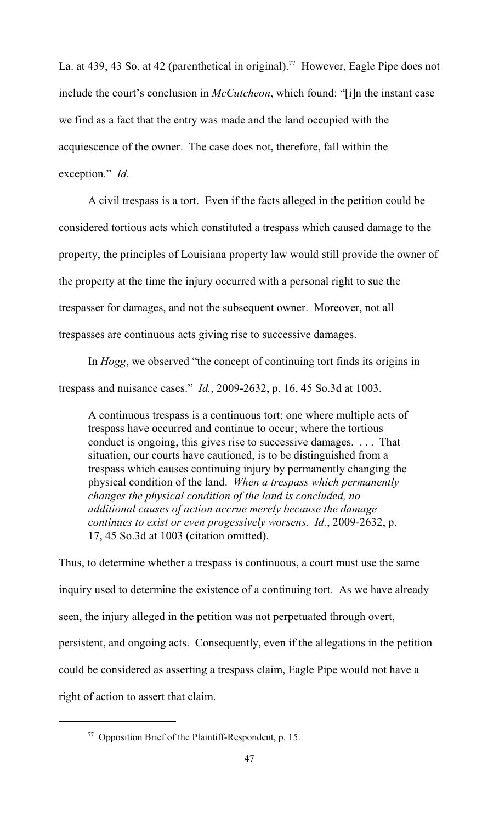La. at 439, 43 So. at 42 (parenthetical in original).<sup>77</sup> However, Eagle Pipe does not include the court's conclusion in *McCutcheon*, which found: "[i]n the instant case we find as a fact that the entry was made and the land occupied with the acquiescence of the owner. The case does not, therefore, fall within the exception." *Id.*

A civil trespass is a tort. Even if the facts alleged in the petition could be considered tortious acts which constituted a trespass which caused damage to the property, the principles of Louisiana property law would still provide the owner of the property at the time the injury occurred with a personal right to sue the trespasser for damages, and not the subsequent owner. Moreover, not all trespasses are continuous acts giving rise to successive damages.

In *Hogg*, we observed "the concept of continuing tort finds its origins in trespass and nuisance cases." *Id.*, 2009-2632, p. 16, 45 So.3d at 1003.

A continuous trespass is a continuous tort; one where multiple acts of trespass have occurred and continue to occur; where the tortious conduct is ongoing, this gives rise to successive damages. . . . That situation, our courts have cautioned, is to be distinguished from a trespass which causes continuing injury by permanently changing the physical condition of the land. *When a trespass which permanently changes the physical condition of the land is concluded, no additional causes of action accrue merely because the damage continues to exist or even progessively worsens. Id.*, 2009-2632, p. 17, 45 So.3d at 1003 (citation omitted).

Thus, to determine whether a trespass is continuous, a court must use the same inquiry used to determine the existence of a continuing tort. As we have already seen, the injury alleged in the petition was not perpetuated through overt, persistent, and ongoing acts. Consequently, even if the allegations in the petition could be considered as asserting a trespass claim, Eagle Pipe would not have a right of action to assert that claim.

 $\frac{77}{7}$  Opposition Brief of the Plaintiff-Respondent, p. 15.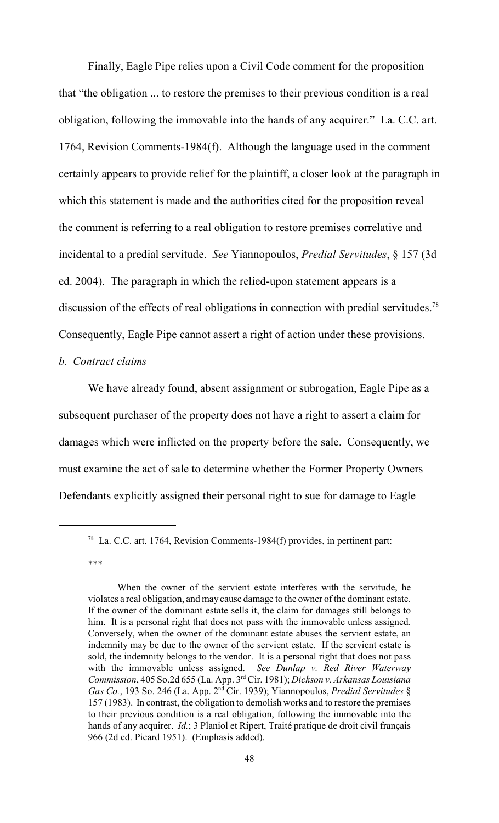Finally, Eagle Pipe relies upon a Civil Code comment for the proposition that "the obligation ... to restore the premises to their previous condition is a real obligation, following the immovable into the hands of any acquirer." La. C.C. art. 1764, Revision Comments-1984(f). Although the language used in the comment certainly appears to provide relief for the plaintiff, a closer look at the paragraph in which this statement is made and the authorities cited for the proposition reveal the comment is referring to a real obligation to restore premises correlative and incidental to a predial servitude. *See* Yiannopoulos, *Predial Servitudes*, § 157 (3d ed. 2004). The paragraph in which the relied-upon statement appears is a discussion of the effects of real obligations in connection with predial servitudes.<sup>78</sup> Consequently, Eagle Pipe cannot assert a right of action under these provisions.

#### *b. Contract claims*

We have already found, absent assignment or subrogation, Eagle Pipe as a subsequent purchaser of the property does not have a right to assert a claim for damages which were inflicted on the property before the sale. Consequently, we must examine the act of sale to determine whether the Former Property Owners Defendants explicitly assigned their personal right to sue for damage to Eagle

<sup>&</sup>lt;sup>78</sup> La. C.C. art. 1764, Revision Comments-1984(f) provides, in pertinent part:

<sup>\*\*\*</sup>

When the owner of the servient estate interferes with the servitude, he violates a real obligation, and may cause damage to the owner of the dominant estate. If the owner of the dominant estate sells it, the claim for damages still belongs to him. It is a personal right that does not pass with the immovable unless assigned. Conversely, when the owner of the dominant estate abuses the servient estate, an indemnity may be due to the owner of the servient estate. If the servient estate is sold, the indemnity belongs to the vendor. It is a personal right that does not pass with the immovable unless assigned. *See Dunlap v. Red River Waterway Commission*, 405 So.2d 655 (La. App. 3<sup>rd</sup> Cir. 1981); *Dickson v. Arkansas Louisiana Gas Co.*, 193 So. 246 (La. App. 2<sup>nd</sup> Cir. 1939); Yiannopoulos, *Predial Servitudes* § 157 (1983). In contrast, the obligation to demolish works and to restore the premises to their previous condition is a real obligation, following the immovable into the hands of any acquirer. *Id.*; 3 Planiol et Ripert, Traité pratique de droit civil français 966 (2d ed. Picard 1951). (Emphasis added).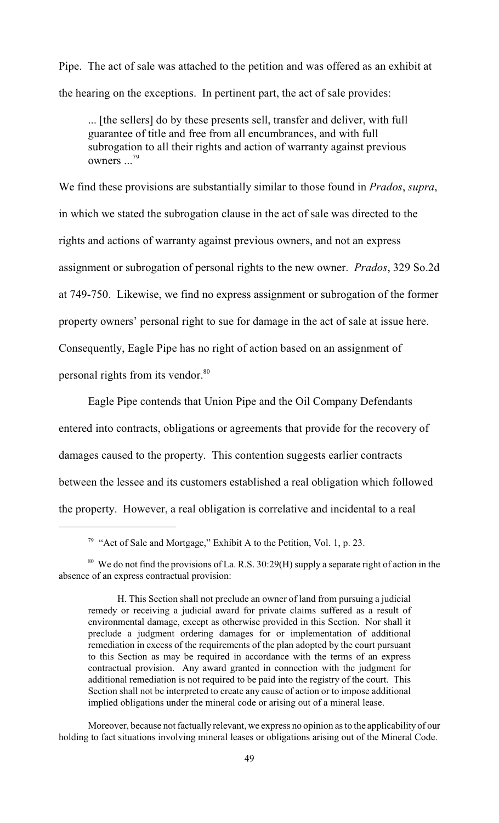Pipe. The act of sale was attached to the petition and was offered as an exhibit at the hearing on the exceptions. In pertinent part, the act of sale provides:

... [the sellers] do by these presents sell, transfer and deliver, with full guarantee of title and free from all encumbrances, and with full subrogation to all their rights and action of warranty against previous owners ...<sup>79</sup>

We find these provisions are substantially similar to those found in *Prados*, *supra*, in which we stated the subrogation clause in the act of sale was directed to the rights and actions of warranty against previous owners, and not an express assignment or subrogation of personal rights to the new owner. *Prados*, 329 So.2d at 749-750. Likewise, we find no express assignment or subrogation of the former property owners' personal right to sue for damage in the act of sale at issue here. Consequently, Eagle Pipe has no right of action based on an assignment of personal rights from its vendor.<sup>80</sup>

Eagle Pipe contends that Union Pipe and the Oil Company Defendants entered into contracts, obligations or agreements that provide for the recovery of damages caused to the property. This contention suggests earlier contracts between the lessee and its customers established a real obligation which followed the property. However, a real obligation is correlative and incidental to a real

<sup>&</sup>lt;sup>79</sup> "Act of Sale and Mortgage," Exhibit A to the Petition, Vol. 1, p. 23.

 $80\,$  We do not find the provisions of La. R.S. 30:29(H) supply a separate right of action in the absence of an express contractual provision:

H. This Section shall not preclude an owner of land from pursuing a judicial remedy or receiving a judicial award for private claims suffered as a result of environmental damage, except as otherwise provided in this Section. Nor shall it preclude a judgment ordering damages for or implementation of additional remediation in excess of the requirements of the plan adopted by the court pursuant to this Section as may be required in accordance with the terms of an express contractual provision. Any award granted in connection with the judgment for additional remediation is not required to be paid into the registry of the court. This Section shall not be interpreted to create any cause of action or to impose additional implied obligations under the mineral code or arising out of a mineral lease.

Moreover, because not factually relevant, we express no opinion as to the applicability of our holding to fact situations involving mineral leases or obligations arising out of the Mineral Code.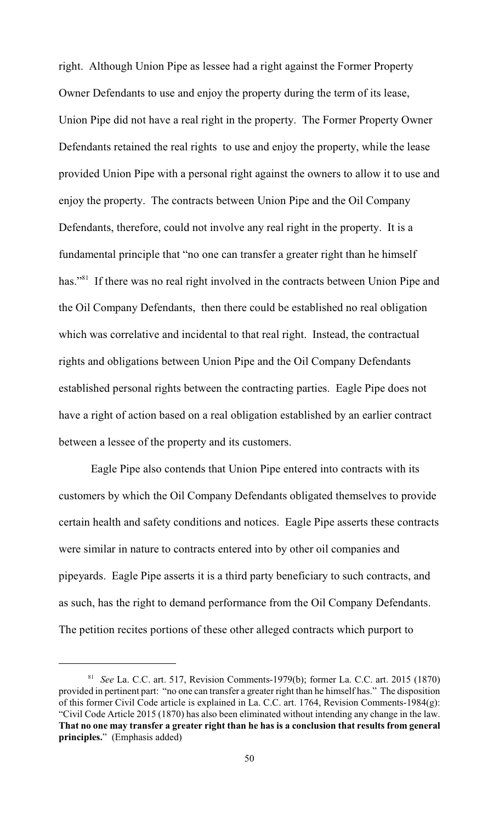right. Although Union Pipe as lessee had a right against the Former Property Owner Defendants to use and enjoy the property during the term of its lease, Union Pipe did not have a real right in the property. The Former Property Owner Defendants retained the real rights to use and enjoy the property, while the lease provided Union Pipe with a personal right against the owners to allow it to use and enjoy the property. The contracts between Union Pipe and the Oil Company Defendants, therefore, could not involve any real right in the property. It is a fundamental principle that "no one can transfer a greater right than he himself has."<sup>81</sup> If there was no real right involved in the contracts between Union Pipe and the Oil Company Defendants, then there could be established no real obligation which was correlative and incidental to that real right. Instead, the contractual rights and obligations between Union Pipe and the Oil Company Defendants established personal rights between the contracting parties. Eagle Pipe does not have a right of action based on a real obligation established by an earlier contract between a lessee of the property and its customers.

 Eagle Pipe also contends that Union Pipe entered into contracts with its customers by which the Oil Company Defendants obligated themselves to provide certain health and safety conditions and notices. Eagle Pipe asserts these contracts were similar in nature to contracts entered into by other oil companies and pipeyards. Eagle Pipe asserts it is a third party beneficiary to such contracts, and as such, has the right to demand performance from the Oil Company Defendants. The petition recites portions of these other alleged contracts which purport to

<sup>&</sup>lt;sup>81</sup> See La. C.C. art. 517, Revision Comments-1979(b); former La. C.C. art. 2015 (1870) provided in pertinent part: "no one can transfer a greater right than he himself has." The disposition of this former Civil Code article is explained in La. C.C. art. 1764, Revision Comments-1984(g): "Civil Code Article 2015 (1870) has also been eliminated without intending any change in the law. **That no one may transfer a greater right than he has is a conclusion that results from general principles.**" (Emphasis added)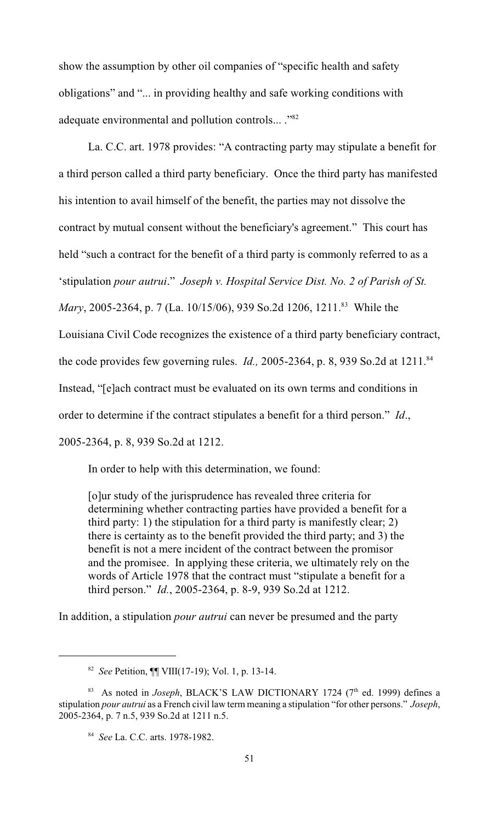show the assumption by other oil companies of "specific health and safety obligations" and "... in providing healthy and safe working conditions with adequate environmental and pollution controls... . "82

La. C.C. art. 1978 provides: "A contracting party may stipulate a benefit for a third person called a third party beneficiary. Once the third party has manifested his intention to avail himself of the benefit, the parties may not dissolve the contract by mutual consent without the beneficiary's agreement." This court has held "such a contract for the benefit of a third party is commonly referred to as a 'stipulation *pour autrui*." *Joseph v. Hospital Service Dist. No. 2 of Parish of St. Mary*, 2005-2364, p. 7 (La. 10/15/06), 939 So.2d 1206, 1211.<sup>83</sup> While the Louisiana Civil Code recognizes the existence of a third party beneficiary contract, the code provides few governing rules. *Id.,* 2005-2364, p. 8, 939 So.2d at 1211. <sup>84</sup> Instead, "[e]ach contract must be evaluated on its own terms and conditions in order to determine if the contract stipulates a benefit for a third person." *Id*., 2005-2364, p. 8, 939 So.2d at 1212.

In order to help with this determination, we found:

[o]ur study of the jurisprudence has revealed three criteria for determining whether contracting parties have provided a benefit for a third party: 1) the stipulation for a third party is manifestly clear; 2) there is certainty as to the benefit provided the third party; and 3) the benefit is not a mere incident of the contract between the promisor and the promisee. In applying these criteria, we ultimately rely on the words of Article 1978 that the contract must "stipulate a benefit for a third person." *Id.*, 2005-2364, p. 8-9, 939 So.2d at 1212.

In addition, a stipulation *pour autrui* can never be presumed and the party

*See* Petition, ¶¶ VIII(17-19); Vol. 1, p. 13-14. <sup>82</sup>

<sup>&</sup>lt;sup>83</sup> As noted in *Joseph*, BLACK'S LAW DICTIONARY 1724 (7<sup>th</sup> ed. 1999) defines a stipulation *pour autrui* as a French civil law term meaning a stipulation "for other persons." *Joseph*, 2005-2364, p. 7 n.5, 939 So.2d at 1211 n.5.

<sup>&</sup>lt;sup>84</sup> *See* La. C.C. arts. 1978-1982.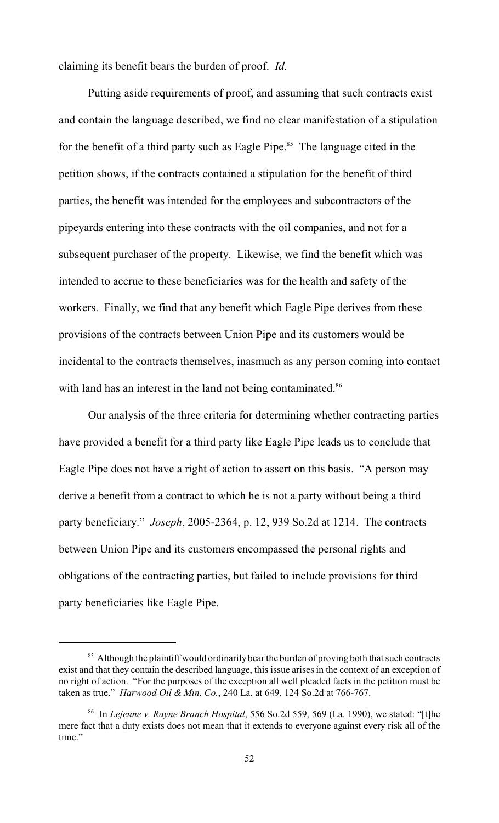claiming its benefit bears the burden of proof. *Id.*

Putting aside requirements of proof, and assuming that such contracts exist and contain the language described, we find no clear manifestation of a stipulation for the benefit of a third party such as Eagle Pipe.<sup>85</sup> The language cited in the petition shows, if the contracts contained a stipulation for the benefit of third parties, the benefit was intended for the employees and subcontractors of the pipeyards entering into these contracts with the oil companies, and not for a subsequent purchaser of the property. Likewise, we find the benefit which was intended to accrue to these beneficiaries was for the health and safety of the workers. Finally, we find that any benefit which Eagle Pipe derives from these provisions of the contracts between Union Pipe and its customers would be incidental to the contracts themselves, inasmuch as any person coming into contact with land has an interest in the land not being contaminated.<sup>86</sup>

Our analysis of the three criteria for determining whether contracting parties have provided a benefit for a third party like Eagle Pipe leads us to conclude that Eagle Pipe does not have a right of action to assert on this basis. "A person may derive a benefit from a contract to which he is not a party without being a third party beneficiary." *Joseph*, 2005-2364, p. 12, 939 So.2d at 1214. The contracts between Union Pipe and its customers encompassed the personal rights and obligations of the contracting parties, but failed to include provisions for third party beneficiaries like Eagle Pipe.

<sup>&</sup>lt;sup>85</sup> Although the plaintiff would ordinarily bear the burden of proving both that such contracts exist and that they contain the described language, this issue arises in the context of an exception of no right of action. "For the purposes of the exception all well pleaded facts in the petition must be taken as true." *Harwood Oil & Min. Co.*, 240 La. at 649, 124 So.2d at 766-767.

<sup>&</sup>lt;sup>86</sup> In *Lejeune v. Rayne Branch Hospital*, 556 So.2d 559, 569 (La. 1990), we stated: "[t]he mere fact that a duty exists does not mean that it extends to everyone against every risk all of the time."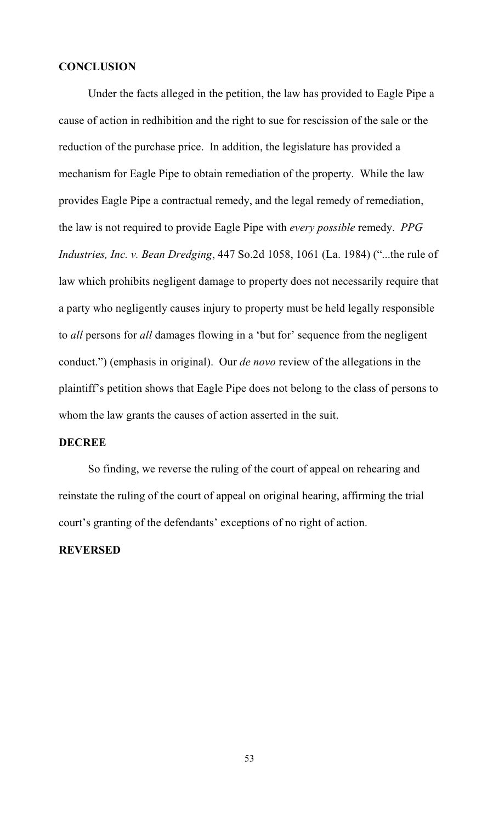# **CONCLUSION**

Under the facts alleged in the petition, the law has provided to Eagle Pipe a cause of action in redhibition and the right to sue for rescission of the sale or the reduction of the purchase price. In addition, the legislature has provided a mechanism for Eagle Pipe to obtain remediation of the property. While the law provides Eagle Pipe a contractual remedy, and the legal remedy of remediation, the law is not required to provide Eagle Pipe with *every possible* remedy. *PPG Industries, Inc. v. Bean Dredging*, 447 So.2d 1058, 1061 (La. 1984) ("...the rule of law which prohibits negligent damage to property does not necessarily require that a party who negligently causes injury to property must be held legally responsible to *all* persons for *all* damages flowing in a 'but for' sequence from the negligent conduct.") (emphasis in original). Our *de novo* review of the allegations in the plaintiff's petition shows that Eagle Pipe does not belong to the class of persons to whom the law grants the causes of action asserted in the suit.

#### **DECREE**

So finding, we reverse the ruling of the court of appeal on rehearing and reinstate the ruling of the court of appeal on original hearing, affirming the trial court's granting of the defendants' exceptions of no right of action.

# **REVERSED**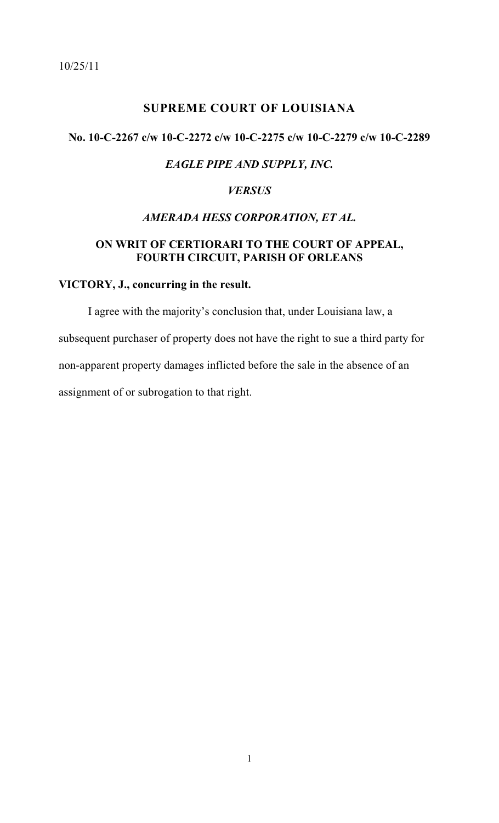<span id="page-54-0"></span>10/25/11

# **SUPREME COURT OF LOUISIANA**

# **No. 10-C-2267 c/w 10-C-2272 c/w 10-C-2275 c/w 10-C-2279 c/w 10-C-2289**

# *EAGLE PIPE AND SUPPLY, INC.*

# *VERSUS*

# *AMERADA HESS CORPORATION, ET AL.*

# **ON WRIT OF CERTIORARI TO THE COURT OF APPEAL, FOURTH CIRCUIT, PARISH OF ORLEANS**

# **VICTORY, J., concurring in the result.**

I agree with the majority's conclusion that, under Louisiana law, a subsequent purchaser of property does not have the right to sue a third party for non-apparent property damages inflicted before the sale in the absence of an assignment of or subrogation to that right.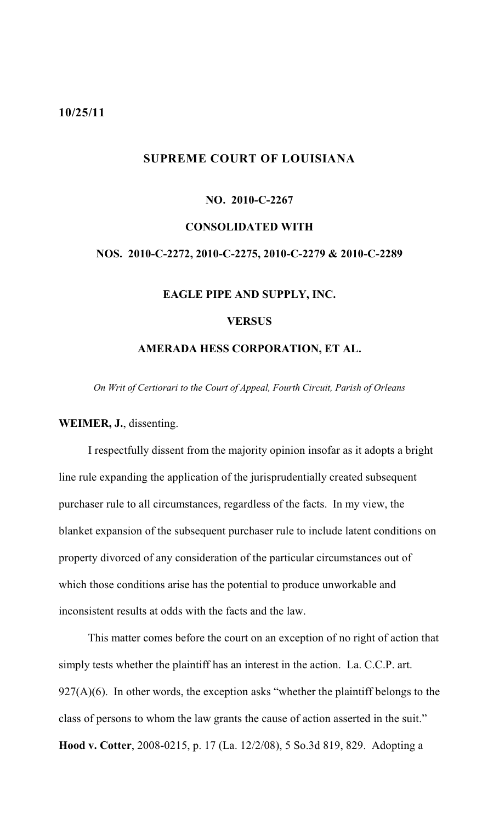#### <span id="page-55-0"></span>**10/25/11**

# **SUPREME COURT OF LOUISIANA**

# **NO. 2010-C-2267 CONSOLIDATED WITH NOS. 2010-C-2272, 2010-C-2275, 2010-C-2279 & 2010-C-2289 EAGLE PIPE AND SUPPLY, INC. VERSUS**

#### **AMERADA HESS CORPORATION, ET AL.**

*On Writ of Certiorari to the Court of Appeal, Fourth Circuit, Parish of Orleans*

#### **WEIMER, J.**, dissenting.

I respectfully dissent from the majority opinion insofar as it adopts a bright line rule expanding the application of the jurisprudentially created subsequent purchaser rule to all circumstances, regardless of the facts. In my view, the blanket expansion of the subsequent purchaser rule to include latent conditions on property divorced of any consideration of the particular circumstances out of which those conditions arise has the potential to produce unworkable and inconsistent results at odds with the facts and the law.

This matter comes before the court on an exception of no right of action that simply tests whether the plaintiff has an interest in the action. La. C.C.P. art.  $927(A)(6)$ . In other words, the exception asks "whether the plaintiff belongs to the class of persons to whom the law grants the cause of action asserted in the suit." **Hood v. Cotter**, 2008-0215, p. 17 (La. 12/2/08), 5 So.3d 819, 829. Adopting a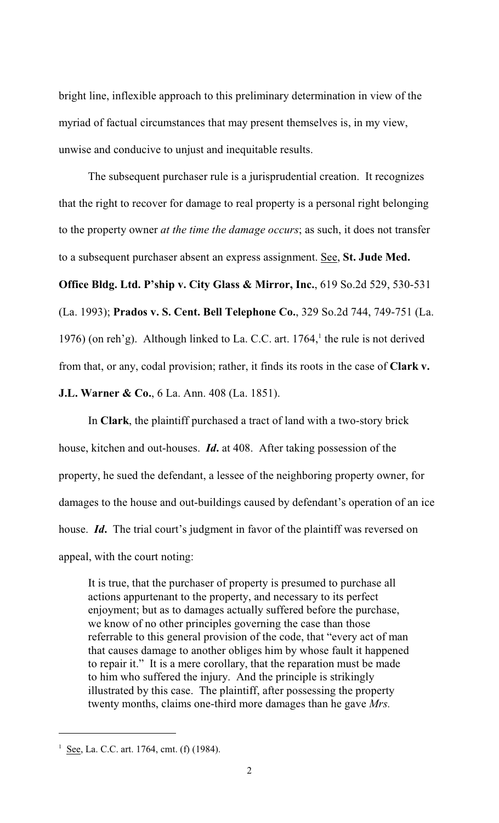bright line, inflexible approach to this preliminary determination in view of the myriad of factual circumstances that may present themselves is, in my view, unwise and conducive to unjust and inequitable results.

The subsequent purchaser rule is a jurisprudential creation. It recognizes that the right to recover for damage to real property is a personal right belonging to the property owner *at the time the damage occurs*; as such, it does not transfer to a subsequent purchaser absent an express assignment. See, **St. Jude Med.**

**Office Bldg. Ltd. P'ship v. City Glass & Mirror, Inc.**, 619 So.2d 529, 530-531 (La. 1993); **Prados v. S. Cent. Bell Telephone Co.**, 329 So.2d 744, 749-751 (La. 1976) (on reh'g). Although linked to La. C.C. art.  $1764$ , the rule is not derived from that, or any, codal provision; rather, it finds its roots in the case of **Clark v.**

**J.L. Warner & Co.**, 6 La. Ann. 408 (La. 1851).

In **Clark**, the plaintiff purchased a tract of land with a two-story brick house, kitchen and out-houses. *Id***.** at 408. After taking possession of the property, he sued the defendant, a lessee of the neighboring property owner, for damages to the house and out-buildings caused by defendant's operation of an ice house. *Id*. The trial court's judgment in favor of the plaintiff was reversed on appeal, with the court noting:

It is true, that the purchaser of property is presumed to purchase all actions appurtenant to the property, and necessary to its perfect enjoyment; but as to damages actually suffered before the purchase, we know of no other principles governing the case than those referrable to this general provision of the code, that "every act of man that causes damage to another obliges him by whose fault it happened to repair it." It is a mere corollary, that the reparation must be made to him who suffered the injury. And the principle is strikingly illustrated by this case. The plaintiff, after possessing the property twenty months, claims one-third more damages than he gave *Mrs.*

<sup>&</sup>lt;sup>1</sup> See, La. C.C. art. 1764, cmt. (f) (1984).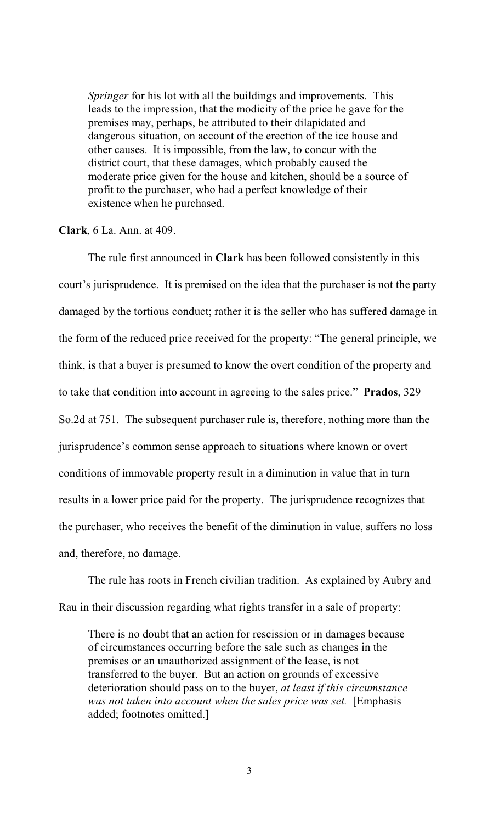*Springer* for his lot with all the buildings and improvements. This leads to the impression, that the modicity of the price he gave for the premises may, perhaps, be attributed to their dilapidated and dangerous situation, on account of the erection of the ice house and other causes. It is impossible, from the law, to concur with the district court, that these damages, which probably caused the moderate price given for the house and kitchen, should be a source of profit to the purchaser, who had a perfect knowledge of their existence when he purchased.

#### **Clark**, 6 La. Ann. at 409.

The rule first announced in **Clark** has been followed consistently in this court's jurisprudence. It is premised on the idea that the purchaser is not the party damaged by the tortious conduct; rather it is the seller who has suffered damage in the form of the reduced price received for the property: "The general principle, we think, is that a buyer is presumed to know the overt condition of the property and to take that condition into account in agreeing to the sales price." **Prados**, 329 So.2d at 751. The subsequent purchaser rule is, therefore, nothing more than the jurisprudence's common sense approach to situations where known or overt conditions of immovable property result in a diminution in value that in turn results in a lower price paid for the property. The jurisprudence recognizes that the purchaser, who receives the benefit of the diminution in value, suffers no loss and, therefore, no damage.

The rule has roots in French civilian tradition. As explained by Aubry and Rau in their discussion regarding what rights transfer in a sale of property:

There is no doubt that an action for rescission or in damages because of circumstances occurring before the sale such as changes in the premises or an unauthorized assignment of the lease, is not transferred to the buyer. But an action on grounds of excessive deterioration should pass on to the buyer, *at least if this circumstance was not taken into account when the sales price was set.* [Emphasis added; footnotes omitted.]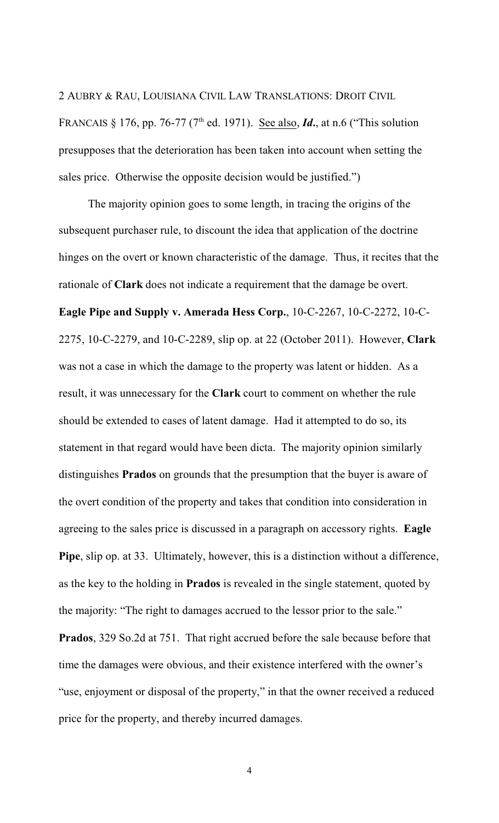2 AUBRY & RAU, LOUISIANA CIVIL LAW TRANSLATIONS: DROIT CIVIL FRANCAIS § 176, pp. 76-77 (7<sup>th</sup> ed. 1971). See also, *Id.*, at n.6 ("This solution presupposes that the deterioration has been taken into account when setting the sales price. Otherwise the opposite decision would be justified.")

The majority opinion goes to some length, in tracing the origins of the subsequent purchaser rule, to discount the idea that application of the doctrine hinges on the overt or known characteristic of the damage. Thus, it recites that the rationale of **Clark** does not indicate a requirement that the damage be overt. **Eagle Pipe and Supply v. Amerada Hess Corp.**, 10-C-2267, 10-C-2272, 10-C-2275, 10-C-2279, and 10-C-2289, slip op. at 22 (October 2011). However, **Clark** was not a case in which the damage to the property was latent or hidden. As a result, it was unnecessary for the **Clark** court to comment on whether the rule should be extended to cases of latent damage. Had it attempted to do so, its statement in that regard would have been dicta. The majority opinion similarly distinguishes **Prados** on grounds that the presumption that the buyer is aware of the overt condition of the property and takes that condition into consideration in agreeing to the sales price is discussed in a paragraph on accessory rights. **Eagle Pipe**, slip op. at 33. Ultimately, however, this is a distinction without a difference, as the key to the holding in **Prados** is revealed in the single statement, quoted by the majority: "The right to damages accrued to the lessor prior to the sale." **Prados**, 329 So.2d at 751. That right accrued before the sale because before that time the damages were obvious, and their existence interfered with the owner's "use, enjoyment or disposal of the property," in that the owner received a reduced price for the property, and thereby incurred damages.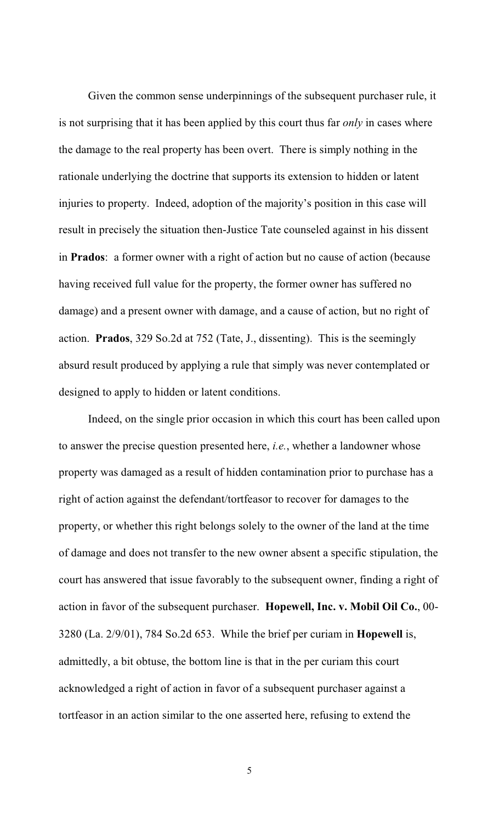Given the common sense underpinnings of the subsequent purchaser rule, it is not surprising that it has been applied by this court thus far *only* in cases where the damage to the real property has been overt. There is simply nothing in the rationale underlying the doctrine that supports its extension to hidden or latent injuries to property. Indeed, adoption of the majority's position in this case will result in precisely the situation then-Justice Tate counseled against in his dissent in **Prados**: a former owner with a right of action but no cause of action (because having received full value for the property, the former owner has suffered no damage) and a present owner with damage, and a cause of action, but no right of action. **Prados**, 329 So.2d at 752 (Tate, J., dissenting). This is the seemingly absurd result produced by applying a rule that simply was never contemplated or designed to apply to hidden or latent conditions.

Indeed, on the single prior occasion in which this court has been called upon to answer the precise question presented here, *i.e.*, whether a landowner whose property was damaged as a result of hidden contamination prior to purchase has a right of action against the defendant/tortfeasor to recover for damages to the property, or whether this right belongs solely to the owner of the land at the time of damage and does not transfer to the new owner absent a specific stipulation, the court has answered that issue favorably to the subsequent owner, finding a right of action in favor of the subsequent purchaser. **Hopewell, Inc. v. Mobil Oil Co.**, 00- 3280 (La. 2/9/01), 784 So.2d 653. While the brief per curiam in **Hopewell** is, admittedly, a bit obtuse, the bottom line is that in the per curiam this court acknowledged a right of action in favor of a subsequent purchaser against a tortfeasor in an action similar to the one asserted here, refusing to extend the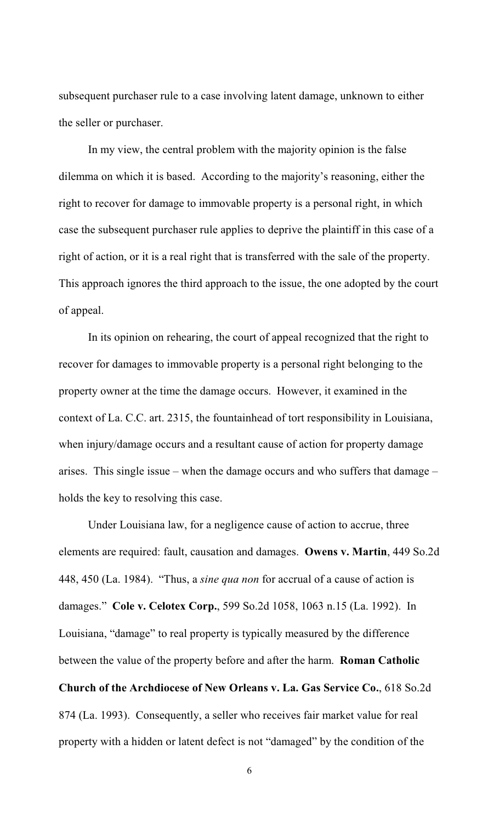subsequent purchaser rule to a case involving latent damage, unknown to either the seller or purchaser.

In my view, the central problem with the majority opinion is the false dilemma on which it is based. According to the majority's reasoning, either the right to recover for damage to immovable property is a personal right, in which case the subsequent purchaser rule applies to deprive the plaintiff in this case of a right of action, or it is a real right that is transferred with the sale of the property. This approach ignores the third approach to the issue, the one adopted by the court of appeal.

In its opinion on rehearing, the court of appeal recognized that the right to recover for damages to immovable property is a personal right belonging to the property owner at the time the damage occurs. However, it examined in the context of La. C.C. art. 2315, the fountainhead of tort responsibility in Louisiana, when injury/damage occurs and a resultant cause of action for property damage arises. This single issue – when the damage occurs and who suffers that damage – holds the key to resolving this case.

Under Louisiana law, for a negligence cause of action to accrue, three elements are required: fault, causation and damages. **Owens v. Martin**, 449 So.2d 448, 450 (La. 1984). "Thus, a *sine qua non* for accrual of a cause of action is damages." **Cole v. Celotex Corp.**, 599 So.2d 1058, 1063 n.15 (La. 1992). In Louisiana, "damage" to real property is typically measured by the difference between the value of the property before and after the harm. **Roman Catholic Church of the Archdiocese of New Orleans v. La. Gas Service Co.**, 618 So.2d 874 (La. 1993). Consequently, a seller who receives fair market value for real property with a hidden or latent defect is not "damaged" by the condition of the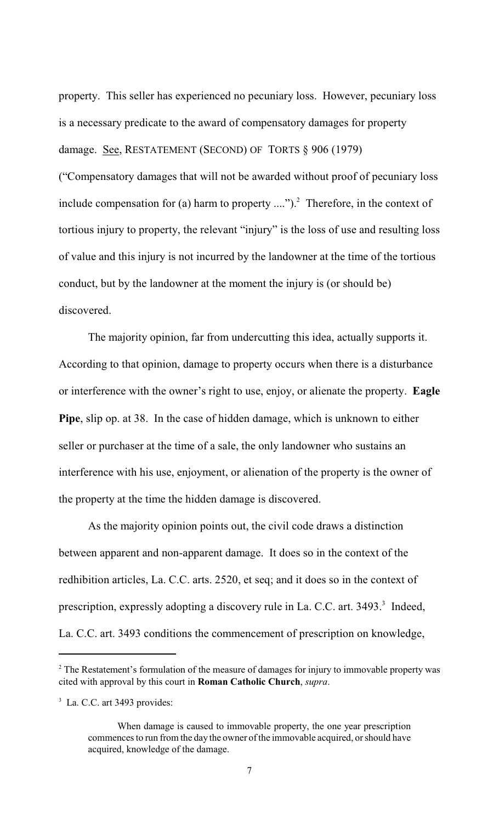property. This seller has experienced no pecuniary loss. However, pecuniary loss is a necessary predicate to the award of compensatory damages for property damage. See, RESTATEMENT (SECOND) OF TORTS § 906 (1979) ("Compensatory damages that will not be awarded without proof of pecuniary loss include compensation for (a) harm to property  $\dots$ ").<sup>2</sup> Therefore, in the context of tortious injury to property, the relevant "injury" is the loss of use and resulting loss of value and this injury is not incurred by the landowner at the time of the tortious conduct, but by the landowner at the moment the injury is (or should be) discovered.

The majority opinion, far from undercutting this idea, actually supports it. According to that opinion, damage to property occurs when there is a disturbance or interference with the owner's right to use, enjoy, or alienate the property. **Eagle Pipe**, slip op. at 38. In the case of hidden damage, which is unknown to either seller or purchaser at the time of a sale, the only landowner who sustains an interference with his use, enjoyment, or alienation of the property is the owner of the property at the time the hidden damage is discovered.

As the majority opinion points out, the civil code draws a distinction between apparent and non-apparent damage. It does so in the context of the redhibition articles, La. C.C. arts. 2520, et seq; and it does so in the context of prescription, expressly adopting a discovery rule in La. C.C. art. 3493. Indeed, La. C.C. art. 3493 conditions the commencement of prescription on knowledge,

 $2$  The Restatement's formulation of the measure of damages for injury to immovable property was cited with approval by this court in **Roman Catholic Church**, *supra*.

 $3$  La. C.C. art 3493 provides:

When damage is caused to immovable property, the one year prescription commences to run from the day the owner of the immovable acquired, or should have acquired, knowledge of the damage.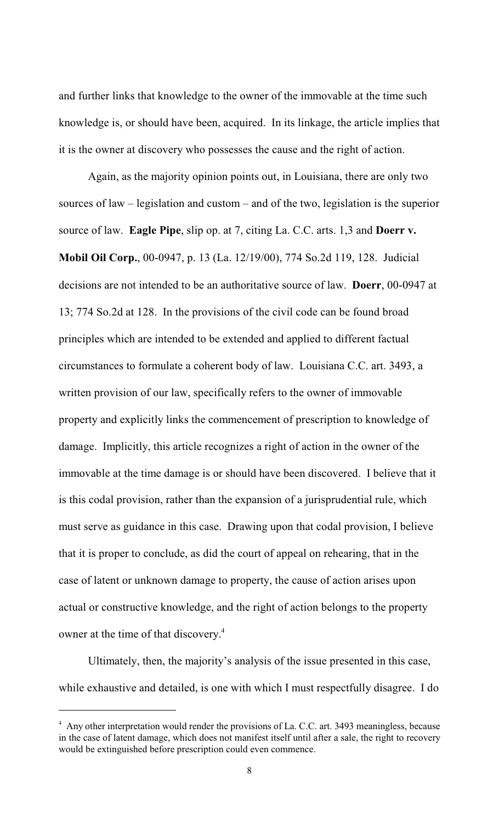and further links that knowledge to the owner of the immovable at the time such knowledge is, or should have been, acquired. In its linkage, the article implies that it is the owner at discovery who possesses the cause and the right of action.

Again, as the majority opinion points out, in Louisiana, there are only two sources of law – legislation and custom – and of the two, legislation is the superior source of law. **Eagle Pipe**, slip op. at 7, citing La. C.C. arts. 1,3 and **Doerr v. Mobil Oil Corp.**, 00-0947, p. 13 (La. 12/19/00), 774 So.2d 119, 128. Judicial decisions are not intended to be an authoritative source of law. **Doerr**, 00-0947 at 13; 774 So.2d at 128. In the provisions of the civil code can be found broad principles which are intended to be extended and applied to different factual circumstances to formulate a coherent body of law. Louisiana C.C. art. 3493, a written provision of our law, specifically refers to the owner of immovable property and explicitly links the commencement of prescription to knowledge of damage. Implicitly, this article recognizes a right of action in the owner of the immovable at the time damage is or should have been discovered. I believe that it is this codal provision, rather than the expansion of a jurisprudential rule, which must serve as guidance in this case. Drawing upon that codal provision, I believe that it is proper to conclude, as did the court of appeal on rehearing, that in the case of latent or unknown damage to property, the cause of action arises upon actual or constructive knowledge, and the right of action belongs to the property owner at the time of that discovery.<sup>4</sup>

Ultimately, then, the majority's analysis of the issue presented in this case, while exhaustive and detailed, is one with which I must respectfully disagree. I do

<sup>&</sup>lt;sup>4</sup> Any other interpretation would render the provisions of La. C.C. art. 3493 meaningless, because in the case of latent damage, which does not manifest itself until after a sale, the right to recovery would be extinguished before prescription could even commence.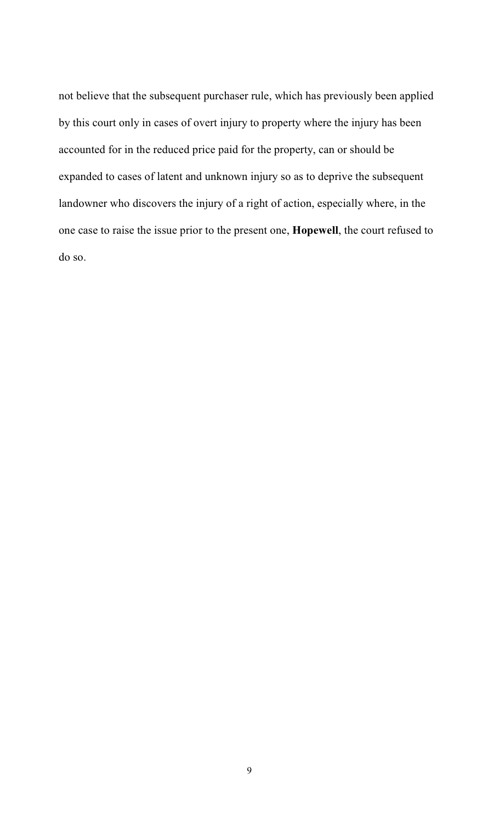not believe that the subsequent purchaser rule, which has previously been applied by this court only in cases of overt injury to property where the injury has been accounted for in the reduced price paid for the property, can or should be expanded to cases of latent and unknown injury so as to deprive the subsequent landowner who discovers the injury of a right of action, especially where, in the one case to raise the issue prior to the present one, **Hopewell**, the court refused to do so.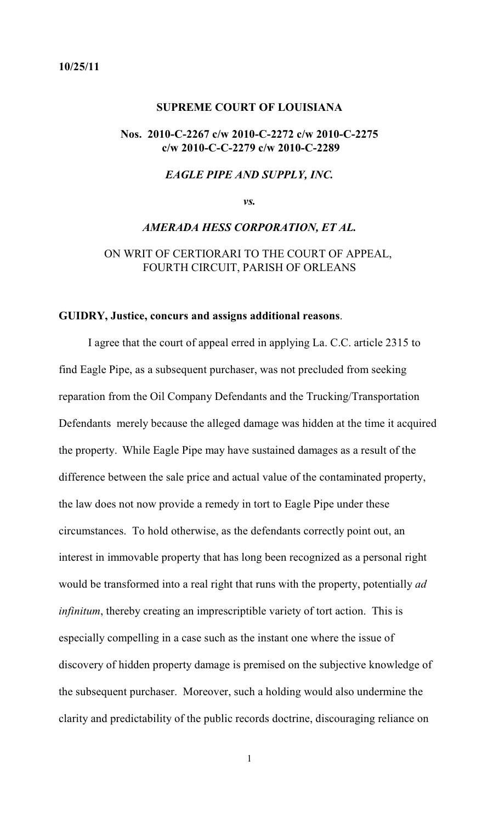#### <span id="page-64-0"></span>**10/25/11**

#### **SUPREME COURT OF LOUISIANA**

# **Nos. 2010-C-2267 c/w 2010-C-2272 c/w 2010-C-2275 c/w 2010-C-C-2279 c/w 2010-C-2289**

#### *EAGLE PIPE AND SUPPLY, INC.*

*vs.*

#### *AMERADA HESS CORPORATION, ET AL.*

ON WRIT OF CERTIORARI TO THE COURT OF APPEAL, FOURTH CIRCUIT, PARISH OF ORLEANS

#### **GUIDRY, Justice, concurs and assigns additional reasons**.

I agree that the court of appeal erred in applying La. C.C. article 2315 to find Eagle Pipe, as a subsequent purchaser, was not precluded from seeking reparation from the Oil Company Defendants and the Trucking/Transportation Defendants merely because the alleged damage was hidden at the time it acquired the property. While Eagle Pipe may have sustained damages as a result of the difference between the sale price and actual value of the contaminated property, the law does not now provide a remedy in tort to Eagle Pipe under these circumstances. To hold otherwise, as the defendants correctly point out, an interest in immovable property that has long been recognized as a personal right would be transformed into a real right that runs with the property, potentially *ad infinitum*, thereby creating an imprescriptible variety of tort action. This is especially compelling in a case such as the instant one where the issue of discovery of hidden property damage is premised on the subjective knowledge of the subsequent purchaser. Moreover, such a holding would also undermine the clarity and predictability of the public records doctrine, discouraging reliance on